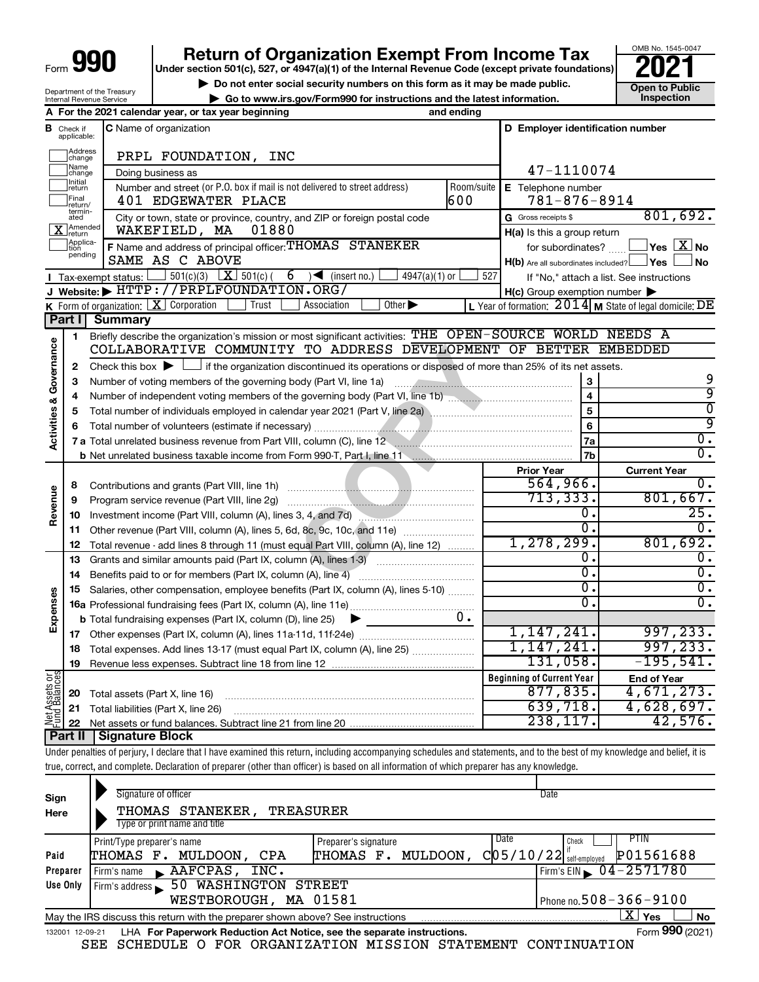## **990 Return of Organization Exempt From Income Tax Punce 1845-004 2021**

▶ Do not enter social security numbers on this form as it may be made public. <br>● Go to www.irs.gov/Form990 for instructions and the latest information. Inspection **| Go to www.irs.gov/Form990 for instructions and the latest information. Inspection**

OMB No. 1545-0047

|                                                        | A For the 2021 calendar year or tax year beginning                          | and ending |
|--------------------------------------------------------|-----------------------------------------------------------------------------|------------|
| Department of the Treasury<br>Internal Revenue Service | $\blacktriangleright$ Go to www.irs.gov/Form990 for instructions and the la |            |
|                                                        | <b>PUTTOL CITICI SOCIAL SCCUTTLY HUITIDELS ON THIS TOTHERS IT IN</b>        |            |

|                         |                                  | Tor the EOET calcridar year, or tax year beginning                                                                                                                                                                                                                                                                       | ana chamg  |                                                     |                                                           |
|-------------------------|----------------------------------|--------------------------------------------------------------------------------------------------------------------------------------------------------------------------------------------------------------------------------------------------------------------------------------------------------------------------|------------|-----------------------------------------------------|-----------------------------------------------------------|
|                         | <b>B</b> Check if<br>applicable: | C Name of organization                                                                                                                                                                                                                                                                                                   |            | D Employer identification number                    |                                                           |
|                         | Address<br> change               | PRPL FOUNDATION, INC                                                                                                                                                                                                                                                                                                     |            |                                                     |                                                           |
|                         | Name<br>change                   | Doing business as                                                                                                                                                                                                                                                                                                        |            | 47-1110074                                          |                                                           |
|                         | Initial<br>return                | Number and street (or P.O. box if mail is not delivered to street address)                                                                                                                                                                                                                                               | Room/suite | E Telephone number                                  |                                                           |
|                         | Final<br>return/                 | 401 EDGEWATER PLACE                                                                                                                                                                                                                                                                                                      | 600        | $781 - 876 - 8914$                                  |                                                           |
|                         | termin-<br>ated                  | City or town, state or province, country, and ZIP or foreign postal code                                                                                                                                                                                                                                                 |            | G Gross receipts \$                                 | 801,692.                                                  |
|                         | X Amended                        | 01880<br>WAKEFIELD, MA                                                                                                                                                                                                                                                                                                   |            | H(a) Is this a group return                         |                                                           |
|                         | Applica-<br>Ition                | F Name and address of principal officer: THOMAS STANEKER                                                                                                                                                                                                                                                                 |            | for subordinates?                                   | $\Box$ Yes $[X]$ No                                       |
|                         | pending                          | SAME AS C ABOVE                                                                                                                                                                                                                                                                                                          |            | $H(b)$ Are all subordinates included? $\Box$ Yes    | ∫ No                                                      |
|                         |                                  | 501(c)(3) $X \overline{S}$ 501(c)(<br>$6 \rightarrow$ (insert no.)<br>$4947(a)(1)$ or<br>Tax-exempt status:                                                                                                                                                                                                              | 527        |                                                     | If "No," attach a list. See instructions                  |
|                         |                                  | J Website: FITTP://PRPLFOUNDATION.ORG/                                                                                                                                                                                                                                                                                   |            | $H(c)$ Group exemption number $\blacktriangleright$ |                                                           |
|                         |                                  | <b>K</b> Form of organization: $\boxed{\textbf{X}}$ Corporation<br>Other $\blacktriangleright$<br>Trust<br>Association                                                                                                                                                                                                   |            |                                                     | L Year of formation: $2014$ M State of legal domicile: DE |
|                         | Part I                           | <b>Summary</b>                                                                                                                                                                                                                                                                                                           |            |                                                     |                                                           |
|                         | 1                                | Briefly describe the organization's mission or most significant activities: THE OPEN-SOURCE WORLD NEEDS A                                                                                                                                                                                                                |            |                                                     |                                                           |
| Governance              |                                  | COLLABORATIVE COMMUNITY TO ADDRESS DEVELOPMENT OF BETTER EMBEDDED                                                                                                                                                                                                                                                        |            |                                                     |                                                           |
|                         | 2                                | Check this box $\blacktriangleright$ $\Box$ if the organization discontinued its operations or disposed of more than 25% of its net assets.                                                                                                                                                                              |            |                                                     |                                                           |
|                         | 3                                | Number of voting members of the governing body (Part VI, line 1a)                                                                                                                                                                                                                                                        |            | $\boldsymbol{3}$                                    | 9                                                         |
|                         | 4                                |                                                                                                                                                                                                                                                                                                                          |            | $\overline{\mathbf{4}}$                             | ब्र                                                       |
|                         | 5                                |                                                                                                                                                                                                                                                                                                                          |            | $\overline{5}$                                      | $\overline{0}$                                            |
| <b>Activities &amp;</b> | 6                                |                                                                                                                                                                                                                                                                                                                          |            | $6\phantom{a}$                                      | ब्र                                                       |
|                         |                                  | 7 a Total unrelated business revenue from Part VIII, column (C), line 12                                                                                                                                                                                                                                                 |            | <b>7a</b>                                           | $\overline{0}$ .                                          |
|                         |                                  |                                                                                                                                                                                                                                                                                                                          |            |                                                     |                                                           |
|                         |                                  |                                                                                                                                                                                                                                                                                                                          |            |                                                     |                                                           |
|                         |                                  |                                                                                                                                                                                                                                                                                                                          |            | 7 <sub>b</sub>                                      | $\overline{0}$ .                                          |
|                         |                                  |                                                                                                                                                                                                                                                                                                                          |            | <b>Prior Year</b>                                   | <b>Current Year</b>                                       |
|                         | 8                                |                                                                                                                                                                                                                                                                                                                          |            | 564,966.                                            | $\overline{0}$ .                                          |
|                         | 9                                |                                                                                                                                                                                                                                                                                                                          |            | 713, 333.                                           | 801,667.                                                  |
| Revenue                 | 10                               | Investment income (Part VIII, column (A), lines 3, 4, and 7d) [2010]                                                                                                                                                                                                                                                     |            | $\overline{0}$ .                                    | 25.                                                       |
|                         | 11                               | Other revenue (Part VIII, column (A), lines 5, 6d, 8c, 9c, 10c, and 11e)                                                                                                                                                                                                                                                 |            | Ο.                                                  | $\overline{0}$ .                                          |
|                         | 12                               | Total revenue - add lines 8 through 11 (must equal Part VIII, column (A), line 12)                                                                                                                                                                                                                                       |            | 1, 278, 299.                                        | 801,692.                                                  |
|                         | 13                               | Grants and similar amounts paid (Part IX, column (A), lines 1-3)                                                                                                                                                                                                                                                         |            | σ.                                                  | 0.                                                        |
|                         | 14                               | Benefits paid to or for members (Part IX, column (A), line 4)                                                                                                                                                                                                                                                            |            | σ.                                                  | $\overline{0}$ .                                          |
|                         | 15                               | Salaries, other compensation, employee benefits (Part IX, column (A), lines 5-10)                                                                                                                                                                                                                                        |            | σ.                                                  | $\overline{0}$ .                                          |
|                         |                                  |                                                                                                                                                                                                                                                                                                                          |            | σ.                                                  | $\overline{0}$ .                                          |
| Expenses                |                                  | <b>b</b> Total fundraising expenses (Part IX, column (D), line 25)                                                                                                                                                                                                                                                       | 0.         |                                                     |                                                           |
|                         |                                  |                                                                                                                                                                                                                                                                                                                          |            | 1, 147, 241.                                        | 997, 233.                                                 |
|                         | 18                               | Total expenses. Add lines 13-17 (must equal Part IX, column (A), line 25)                                                                                                                                                                                                                                                |            | 1,147,241.                                          | 997, 233.                                                 |
|                         | 19                               |                                                                                                                                                                                                                                                                                                                          |            | 131,058.                                            | $-195,541.$                                               |
|                         |                                  |                                                                                                                                                                                                                                                                                                                          |            | <b>Beginning of Current Year</b>                    | <b>End of Year</b>                                        |
|                         | 20                               | Total assets (Part X, line 16)                                                                                                                                                                                                                                                                                           |            | 877, 835.                                           | 4,671,273.                                                |
|                         | 21                               | Total liabilities (Part X, line 26)                                                                                                                                                                                                                                                                                      |            | 639,718.                                            | 4,628,697.                                                |
| Net Assets or           | 22                               |                                                                                                                                                                                                                                                                                                                          |            | 238, 117.                                           | 42,576.                                                   |
|                         | Part II                          | <b>Signature Block</b>                                                                                                                                                                                                                                                                                                   |            |                                                     |                                                           |
|                         |                                  | Under penalties of perjury, I declare that I have examined this return, including accompanying schedules and statements, and to the best of my knowledge and belief, it is<br>true, correct, and complete. Declaration of preparer (other than officer) is based on all information of which preparer has any knowledge. |            |                                                     |                                                           |

| Sign<br>Here | Signature of officer<br>STANEKER,<br><b>TREASURER</b><br>THOMAS<br>Type or print name and title              |                      | Date                                      |  |  |  |  |
|--------------|--------------------------------------------------------------------------------------------------------------|----------------------|-------------------------------------------|--|--|--|--|
|              | Print/Type preparer's name                                                                                   | Preparer's signature | PTIN<br>Date<br>Check                     |  |  |  |  |
| Paid         | MULDOON.<br><b>CPA</b><br>THOMAS F.                                                                          | THOMAS F. MULDOON.   | P01561688<br>C[05/10/22]<br>self-employed |  |  |  |  |
| Preparer     | AAFCPAS,<br>INC.<br>Firm's name                                                                              |                      | Firm's EIN $\sqrt{04-2571780}$            |  |  |  |  |
| Use Only     | 50 WASHINGTON<br>Firm's address                                                                              | STREET               |                                           |  |  |  |  |
|              | WESTBOROUGH, MA 01581                                                                                        |                      | Phone no. $508 - 366 - 9100$              |  |  |  |  |
|              | ΧI<br>∣ Yes<br>No<br>May the IRS discuss this return with the preparer shown above? See instructions         |                      |                                           |  |  |  |  |
|              | Form 990 (2021)<br>LHA For Paperwork Reduction Act Notice, see the separate instructions.<br>132001 12-09-21 |                      |                                           |  |  |  |  |

SEE SCHEDULE O FOR ORGANIZATION MISSION STATEMENT CONTINUATION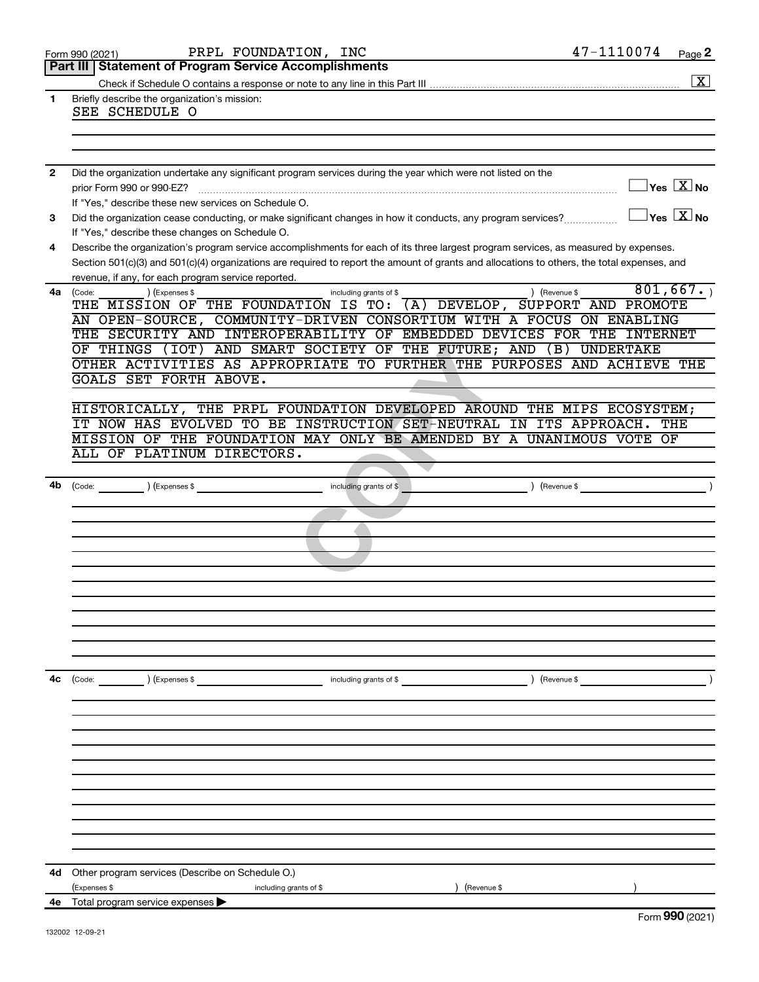|    | PRPL FOUNDATION, INC<br>Form 990 (2021)                                                                                                      | 47-1110074<br>Page 2                    |
|----|----------------------------------------------------------------------------------------------------------------------------------------------|-----------------------------------------|
|    | <b>Statement of Program Service Accomplishments</b><br>Part III                                                                              |                                         |
|    |                                                                                                                                              | $\boxed{\textbf{X}}$                    |
| 1  | Briefly describe the organization's mission:<br>SEE SCHEDULE O                                                                               |                                         |
|    |                                                                                                                                              |                                         |
|    |                                                                                                                                              |                                         |
|    |                                                                                                                                              |                                         |
| 2  | Did the organization undertake any significant program services during the year which were not listed on the                                 |                                         |
|    | prior Form 990 or 990-EZ?                                                                                                                    | $\vert$ Yes $\boxed{\text{X}}$ No       |
|    | If "Yes," describe these new services on Schedule O.                                                                                         |                                         |
| 3  | Did the organization cease conducting, or make significant changes in how it conducts, any program services?                                 | $\Box$ Yes $[\overline{\mathrm{X}}]$ No |
|    | If "Yes," describe these changes on Schedule O.                                                                                              |                                         |
| 4  | Describe the organization's program service accomplishments for each of its three largest program services, as measured by expenses.         |                                         |
|    | Section 501(c)(3) and 501(c)(4) organizations are required to report the amount of grants and allocations to others, the total expenses, and |                                         |
|    | revenue, if any, for each program service reported.                                                                                          |                                         |
| 4a | ) (Revenue \$<br>(Code:<br>(Expenses \$<br>including grants of \$                                                                            | 801,667.                                |
|    | THE MISSION OF THE FOUNDATION IS TO:<br>(A) DEVELOP, SUPPORT AND PROMOTE                                                                     |                                         |
|    | AN OPEN-SOURCE, COMMUNITY-DRIVEN CONSORTIUM WITH A FOCUS ON ENABLING                                                                         |                                         |
|    | THE SECURITY AND INTEROPERABILITY OF EMBEDDED DEVICES FOR THE                                                                                | <b>INTERNET</b>                         |
|    | AND SMART SOCIETY OF THE FUTURE; AND<br>THINGS<br>(IOT)<br>(B)<br>OF                                                                         | <b>UNDERTAKE</b>                        |
|    | OTHER ACTIVITIES AS APPROPRIATE TO FURTHER THE PURPOSES AND ACHIEVE THE                                                                      |                                         |
|    | GOALS SET FORTH ABOVE.                                                                                                                       |                                         |
|    |                                                                                                                                              |                                         |
|    | HISTORICALLY, THE PRPL FOUNDATION DEVELOPED AROUND THE MIPS ECOSYSTEM;                                                                       |                                         |
|    | IT NOW HAS EVOLVED TO BE INSTRUCTION SET-NEUTRAL IN ITS APPROACH.                                                                            | THE                                     |
|    | MISSION OF THE FOUNDATION MAY ONLY BE AMENDED BY A UNANIMOUS VOTE OF                                                                         |                                         |
|    | ALL OF PLATINUM DIRECTORS.                                                                                                                   |                                         |
|    |                                                                                                                                              |                                         |
|    | 4b (Code: ) (Expenses \$<br>including grants of \$                                                                                           | $($ Revenue \$                          |
|    |                                                                                                                                              |                                         |
|    |                                                                                                                                              |                                         |
|    |                                                                                                                                              |                                         |
|    |                                                                                                                                              |                                         |
|    |                                                                                                                                              |                                         |
|    |                                                                                                                                              |                                         |
|    |                                                                                                                                              |                                         |
|    |                                                                                                                                              |                                         |
|    |                                                                                                                                              |                                         |
|    |                                                                                                                                              |                                         |
|    |                                                                                                                                              |                                         |
| 4с |                                                                                                                                              |                                         |
|    | ) (Revenue \$<br>(Code: ) (Expenses \$<br>including grants of $$$                                                                            |                                         |
|    |                                                                                                                                              |                                         |
|    |                                                                                                                                              |                                         |
|    |                                                                                                                                              |                                         |
|    |                                                                                                                                              |                                         |
|    |                                                                                                                                              |                                         |
|    |                                                                                                                                              |                                         |
|    |                                                                                                                                              |                                         |
|    |                                                                                                                                              |                                         |
|    |                                                                                                                                              |                                         |
|    |                                                                                                                                              |                                         |
|    |                                                                                                                                              |                                         |
| 4d | Other program services (Describe on Schedule O.)                                                                                             |                                         |
|    | (Expenses \$<br>including grants of \$<br>(Revenue \$                                                                                        |                                         |
|    | 4e Total program service expenses                                                                                                            |                                         |
|    |                                                                                                                                              | $000$ (2224)                            |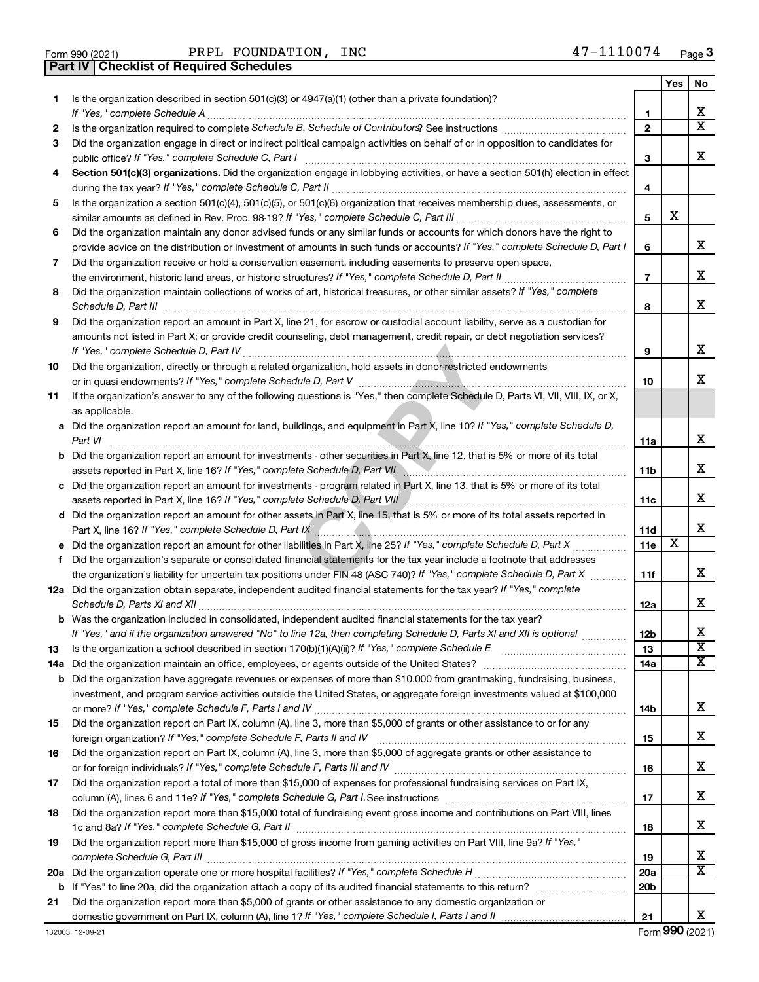|  | Form 990 (2021) |  |
|--|-----------------|--|

Form 990 (2021) Page PRPL FOUNDATION, INC 47-1110074 **Part IV Checklist of Required Schedules**

|    |                                                                                                                                                                                                                                                           |                          | Yes | No                      |
|----|-----------------------------------------------------------------------------------------------------------------------------------------------------------------------------------------------------------------------------------------------------------|--------------------------|-----|-------------------------|
| 1. | Is the organization described in section $501(c)(3)$ or $4947(a)(1)$ (other than a private foundation)?<br>If "Yes," complete Schedule A                                                                                                                  | 1                        |     | x                       |
| 2  |                                                                                                                                                                                                                                                           | $\mathbf{2}$             |     | X                       |
| 3  | Did the organization engage in direct or indirect political campaign activities on behalf of or in opposition to candidates for                                                                                                                           |                          |     |                         |
|    | public office? If "Yes," complete Schedule C, Part I                                                                                                                                                                                                      | 3                        |     | x                       |
| 4  | Section 501(c)(3) organizations. Did the organization engage in lobbying activities, or have a section 501(h) election in effect                                                                                                                          | 4                        |     |                         |
| 5  | Is the organization a section 501(c)(4), 501(c)(5), or 501(c)(6) organization that receives membership dues, assessments, or                                                                                                                              |                          |     |                         |
|    |                                                                                                                                                                                                                                                           | 5                        | х   |                         |
| 6  | Did the organization maintain any donor advised funds or any similar funds or accounts for which donors have the right to<br>provide advice on the distribution or investment of amounts in such funds or accounts? If "Yes," complete Schedule D, Part I | 6                        |     | x                       |
| 7  | Did the organization receive or hold a conservation easement, including easements to preserve open space,                                                                                                                                                 |                          |     |                         |
|    |                                                                                                                                                                                                                                                           | $\overline{\phantom{a}}$ |     | x                       |
| 8  | Did the organization maintain collections of works of art, historical treasures, or other similar assets? If "Yes," complete                                                                                                                              |                          |     |                         |
|    | Schedule D, Part III                                                                                                                                                                                                                                      | 8                        |     | х                       |
| 9  | Did the organization report an amount in Part X, line 21, for escrow or custodial account liability, serve as a custodian for                                                                                                                             |                          |     |                         |
|    | amounts not listed in Part X; or provide credit counseling, debt management, credit repair, or debt negotiation services?                                                                                                                                 |                          |     |                         |
|    |                                                                                                                                                                                                                                                           | 9                        |     | х                       |
| 10 | Did the organization, directly or through a related organization, hold assets in donor-restricted endowments                                                                                                                                              |                          |     |                         |
|    |                                                                                                                                                                                                                                                           | 10                       |     | x                       |
| 11 | If the organization's answer to any of the following questions is "Yes," then complete Schedule D, Parts VI, VII, VIII, IX, or X,<br>as applicable.                                                                                                       |                          |     |                         |
|    | a Did the organization report an amount for land, buildings, and equipment in Part X, line 10? If "Yes," complete Schedule D,                                                                                                                             |                          |     |                         |
|    | Part VI                                                                                                                                                                                                                                                   | 11a                      |     | х                       |
|    | <b>b</b> Did the organization report an amount for investments - other securities in Part X, line 12, that is 5% or more of its total                                                                                                                     | <b>11b</b>               |     | x                       |
|    | c Did the organization report an amount for investments - program related in Part X, line 13, that is 5% or more of its total                                                                                                                             |                          |     |                         |
|    | assets reported in Part X, line 16? If "Yes," complete Schedule D, Part VIII [[[[[[[[[[[[[[[[[[[[[[[[[[[[[[[[                                                                                                                                             | 11c                      |     | х                       |
|    | d Did the organization report an amount for other assets in Part X, line 15, that is 5% or more of its total assets reported in                                                                                                                           |                          |     |                         |
|    |                                                                                                                                                                                                                                                           | 11d                      |     | х                       |
|    |                                                                                                                                                                                                                                                           | 11e                      | х   |                         |
| f  | Did the organization's separate or consolidated financial statements for the tax year include a footnote that addresses                                                                                                                                   |                          |     |                         |
|    | the organization's liability for uncertain tax positions under FIN 48 (ASC 740)? If "Yes," complete Schedule D, Part X                                                                                                                                    | 11f                      |     | х                       |
|    | 12a Did the organization obtain separate, independent audited financial statements for the tax year? If "Yes," complete                                                                                                                                   | 12a                      |     | x                       |
|    | b Was the organization included in consolidated, independent audited financial statements for the tax year?                                                                                                                                               |                          |     |                         |
|    | If "Yes." and if the organization answered "No" to line 12a. then completing Schedule D. Parts XI and XII is optional                                                                                                                                     | 12 <sub>b</sub>          |     | х                       |
| 13 |                                                                                                                                                                                                                                                           | 13                       |     | $\overline{\textbf{x}}$ |
|    |                                                                                                                                                                                                                                                           | 14a                      |     | x                       |
|    | <b>b</b> Did the organization have aggregate revenues or expenses of more than \$10,000 from grantmaking, fundraising, business,                                                                                                                          |                          |     |                         |
|    | investment, and program service activities outside the United States, or aggregate foreign investments valued at \$100,000                                                                                                                                |                          |     | x                       |
|    | Did the organization report on Part IX, column (A), line 3, more than \$5,000 of grants or other assistance to or for any                                                                                                                                 | 14b                      |     |                         |
| 15 |                                                                                                                                                                                                                                                           | 15                       |     | х                       |
| 16 | Did the organization report on Part IX, column (A), line 3, more than \$5,000 of aggregate grants or other assistance to                                                                                                                                  |                          |     |                         |
|    |                                                                                                                                                                                                                                                           | 16                       |     | х                       |
| 17 | Did the organization report a total of more than \$15,000 of expenses for professional fundraising services on Part IX,                                                                                                                                   |                          |     |                         |
|    |                                                                                                                                                                                                                                                           | 17                       |     | х                       |
| 18 | Did the organization report more than \$15,000 total of fundraising event gross income and contributions on Part VIII, lines                                                                                                                              |                          |     |                         |
|    |                                                                                                                                                                                                                                                           | 18                       |     | х                       |
| 19 | Did the organization report more than \$15,000 of gross income from gaming activities on Part VIII, line 9a? If "Yes,"                                                                                                                                    |                          |     |                         |
|    |                                                                                                                                                                                                                                                           | 19                       |     | х                       |
|    |                                                                                                                                                                                                                                                           | 20a                      |     | х                       |
|    |                                                                                                                                                                                                                                                           | 20 <sub>b</sub>          |     |                         |
| 21 | Did the organization report more than \$5,000 of grants or other assistance to any domestic organization or                                                                                                                                               |                          |     |                         |
|    |                                                                                                                                                                                                                                                           | 21                       |     | x                       |

Form (2021) **990**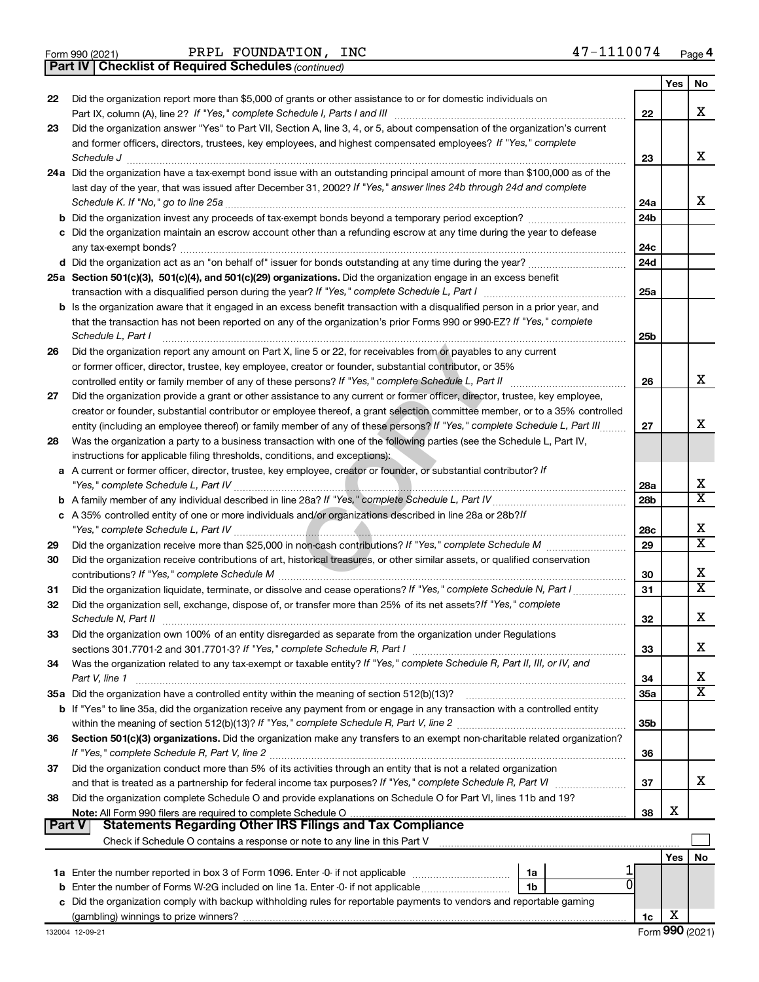|  | Form 990 (2021) |
|--|-----------------|
|  |                 |

*(continued)* **Part IV Checklist of Required Schedules**

|        |                                                                                                                                                                                                                            |                 | Yes        | No                      |
|--------|----------------------------------------------------------------------------------------------------------------------------------------------------------------------------------------------------------------------------|-----------------|------------|-------------------------|
| 22     | Did the organization report more than \$5,000 of grants or other assistance to or for domestic individuals on                                                                                                              |                 |            |                         |
|        | Part IX, column (A), line 2? If "Yes," complete Schedule I, Parts I and III                                                                                                                                                | 22              |            | X                       |
| 23     | Did the organization answer "Yes" to Part VII, Section A, line 3, 4, or 5, about compensation of the organization's current                                                                                                |                 |            |                         |
|        | and former officers, directors, trustees, key employees, and highest compensated employees? If "Yes," complete                                                                                                             |                 |            |                         |
|        | Schedule J                                                                                                                                                                                                                 | 23              |            | x                       |
|        | 24a Did the organization have a tax-exempt bond issue with an outstanding principal amount of more than \$100,000 as of the                                                                                                |                 |            |                         |
|        | last day of the year, that was issued after December 31, 2002? If "Yes," answer lines 24b through 24d and complete                                                                                                         |                 |            | x                       |
|        | Schedule K. If "No," go to line 25a                                                                                                                                                                                        | 24a             |            |                         |
|        | <b>b</b> Did the organization invest any proceeds of tax-exempt bonds beyond a temporary period exception?                                                                                                                 | 24 <sub>b</sub> |            |                         |
|        | c Did the organization maintain an escrow account other than a refunding escrow at any time during the year to defease                                                                                                     |                 |            |                         |
|        | any tax-exempt bonds?                                                                                                                                                                                                      | 24 <sub>c</sub> |            |                         |
|        |                                                                                                                                                                                                                            | 24d             |            |                         |
|        | 25a Section 501(c)(3), 501(c)(4), and 501(c)(29) organizations. Did the organization engage in an excess benefit                                                                                                           |                 |            |                         |
|        |                                                                                                                                                                                                                            | 25a             |            |                         |
|        | <b>b</b> Is the organization aware that it engaged in an excess benefit transaction with a disqualified person in a prior year, and                                                                                        |                 |            |                         |
|        | that the transaction has not been reported on any of the organization's prior Forms 990 or 990-EZ? If "Yes," complete<br>Schedule L, Part I                                                                                |                 |            |                         |
|        |                                                                                                                                                                                                                            | 25b             |            |                         |
| 26     | Did the organization report any amount on Part X, line 5 or 22, for receivables from or payables to any current<br>or former officer, director, trustee, key employee, creator or founder, substantial contributor, or 35% |                 |            |                         |
|        | controlled entity or family member of any of these persons? If "Yes," complete Schedule L, Part II                                                                                                                         | 26              |            | х                       |
| 27     | Did the organization provide a grant or other assistance to any current or former officer, director, trustee, key employee,                                                                                                |                 |            |                         |
|        | creator or founder, substantial contributor or employee thereof, a grant selection committee member, or to a 35% controlled                                                                                                |                 |            |                         |
|        | entity (including an employee thereof) or family member of any of these persons? If "Yes," complete Schedule L, Part III                                                                                                   | 27              |            | X                       |
| 28     | Was the organization a party to a business transaction with one of the following parties (see the Schedule L, Part IV,                                                                                                     |                 |            |                         |
|        | instructions for applicable filing thresholds, conditions, and exceptions):                                                                                                                                                |                 |            |                         |
|        | a A current or former officer, director, trustee, key employee, creator or founder, or substantial contributor? If                                                                                                         |                 |            |                         |
|        |                                                                                                                                                                                                                            | 28a             |            | x                       |
|        |                                                                                                                                                                                                                            | 28 <sub>b</sub> |            | $\overline{\mathbf{x}}$ |
|        | c A 35% controlled entity of one or more individuals and/or organizations described in line 28a or 28b?/f                                                                                                                  |                 |            |                         |
|        |                                                                                                                                                                                                                            | 28c             |            | X                       |
| 29     | Did the organization receive more than \$25,000 in non-cash contributions? If "Yes," complete Schedule M                                                                                                                   | 29              |            | $\overline{\mathbf{x}}$ |
| 30     | Did the organization receive contributions of art, historical treasures, or other similar assets, or qualified conservation                                                                                                |                 |            |                         |
|        |                                                                                                                                                                                                                            | 30              |            | X                       |
| 31     | Did the organization liquidate, terminate, or dissolve and cease operations? If "Yes," complete Schedule N, Part I                                                                                                         | 31              |            | $\overline{\mathtt{x}}$ |
| 32     | Did the organization sell, exchange, dispose of, or transfer more than 25% of its net assets? If "Yes," complete                                                                                                           |                 |            |                         |
|        | Schedule N, Part II                                                                                                                                                                                                        | 32              |            | X                       |
| 33     | Did the organization own 100% of an entity disregarded as separate from the organization under Regulations                                                                                                                 |                 |            |                         |
|        |                                                                                                                                                                                                                            | 33              |            | X                       |
| 34     | Was the organization related to any tax-exempt or taxable entity? If "Yes," complete Schedule R, Part II, III, or IV, and                                                                                                  |                 |            |                         |
|        | Part V, line 1                                                                                                                                                                                                             | 34              |            | x                       |
|        | 35a Did the organization have a controlled entity within the meaning of section 512(b)(13)?                                                                                                                                | 35a             |            | $\overline{\mathtt{x}}$ |
|        | b If "Yes" to line 35a, did the organization receive any payment from or engage in any transaction with a controlled entity                                                                                                |                 |            |                         |
|        |                                                                                                                                                                                                                            | 35b             |            |                         |
| 36     | Section 501(c)(3) organizations. Did the organization make any transfers to an exempt non-charitable related organization?                                                                                                 |                 |            |                         |
|        |                                                                                                                                                                                                                            | 36              |            |                         |
| 37     | Did the organization conduct more than 5% of its activities through an entity that is not a related organization                                                                                                           |                 |            |                         |
|        | and that is treated as a partnership for federal income tax purposes? If "Yes," complete Schedule R, Part VI                                                                                                               | 37              |            | x                       |
| 38     | Did the organization complete Schedule O and provide explanations on Schedule O for Part VI, lines 11b and 19?                                                                                                             |                 |            |                         |
|        |                                                                                                                                                                                                                            | 38              | X          |                         |
| Part V | Statements Regarding Other IRS Filings and Tax Compliance                                                                                                                                                                  |                 |            |                         |
|        |                                                                                                                                                                                                                            |                 |            |                         |
|        |                                                                                                                                                                                                                            |                 | <b>Yes</b> | No                      |
|        | 1a                                                                                                                                                                                                                         |                 |            |                         |
|        | 1b                                                                                                                                                                                                                         |                 |            |                         |
|        | c Did the organization comply with backup withholding rules for reportable payments to vendors and reportable gaming                                                                                                       |                 | х          |                         |
|        |                                                                                                                                                                                                                            | 1c              |            |                         |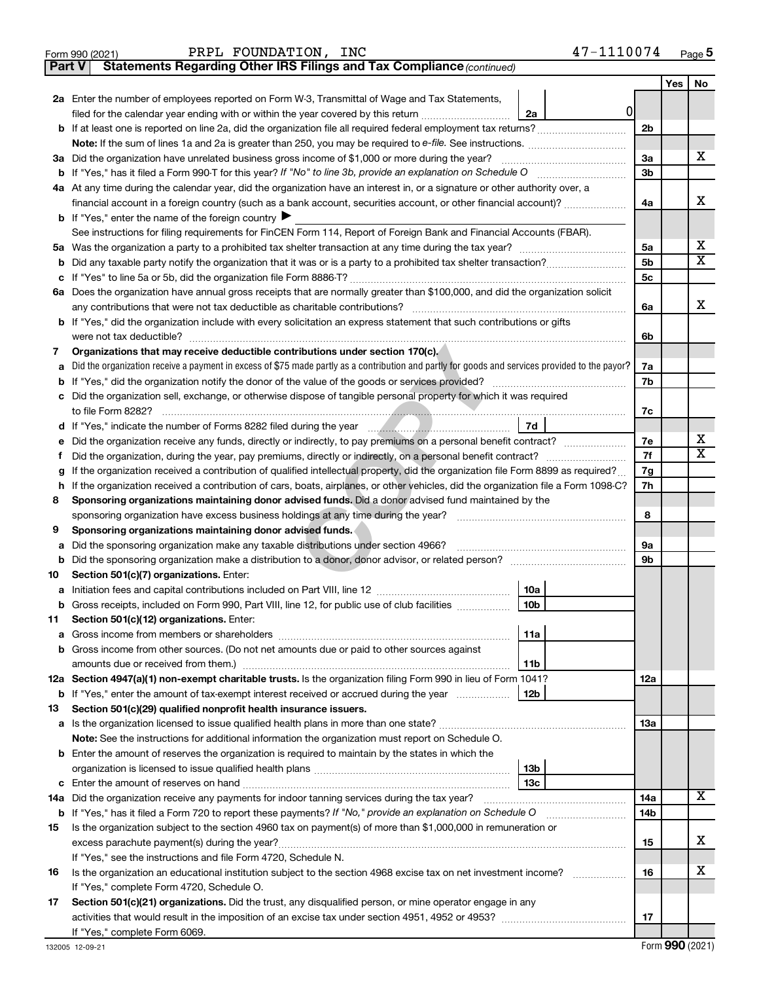|               | 47-1110074<br>PRPL FOUNDATION, INC<br>Form 990 (2021)                                                                                                                                                                                            |                |     | Page 5                  |
|---------------|--------------------------------------------------------------------------------------------------------------------------------------------------------------------------------------------------------------------------------------------------|----------------|-----|-------------------------|
| <b>Part V</b> | Statements Regarding Other IRS Filings and Tax Compliance (continued)                                                                                                                                                                            |                |     |                         |
|               |                                                                                                                                                                                                                                                  |                | Yes | No                      |
|               | 2a Enter the number of employees reported on Form W-3, Transmittal of Wage and Tax Statements,                                                                                                                                                   |                |     |                         |
|               | $\overline{0}$<br>filed for the calendar year ending with or within the year covered by this return <i>[[[[[[[[[[[[[[]]]</i> ]]<br>2a                                                                                                            |                |     |                         |
|               | <b>b</b> If at least one is reported on line 2a, did the organization file all required federal employment tax returns?                                                                                                                          | 2 <sub>b</sub> |     |                         |
|               | Note: If the sum of lines 1a and 2a is greater than 250, you may be required to e-file. See instructions.                                                                                                                                        |                |     |                         |
|               | 3a Did the organization have unrelated business gross income of \$1,000 or more during the year?                                                                                                                                                 | 3a             |     | х                       |
|               | <b>b</b> If "Yes," has it filed a Form 990-T for this year? If "No" to line 3b, provide an explanation on Schedule O                                                                                                                             | 3 <sub>b</sub> |     |                         |
|               | 4a At any time during the calendar year, did the organization have an interest in, or a signature or other authority over, a                                                                                                                     |                |     |                         |
|               | financial account in a foreign country (such as a bank account, securities account, or other financial account)?                                                                                                                                 | 4a             |     | х                       |
|               | <b>b</b> If "Yes," enter the name of the foreign country $\blacktriangleright$                                                                                                                                                                   |                |     |                         |
|               | See instructions for filing requirements for FinCEN Form 114, Report of Foreign Bank and Financial Accounts (FBAR).                                                                                                                              |                |     |                         |
|               |                                                                                                                                                                                                                                                  | 5a             |     | х                       |
| b             |                                                                                                                                                                                                                                                  | 5b             |     | $\overline{\texttt{x}}$ |
| с             |                                                                                                                                                                                                                                                  | 5c             |     |                         |
|               | 6a Does the organization have annual gross receipts that are normally greater than \$100,000, and did the organization solicit                                                                                                                   |                |     |                         |
|               | any contributions that were not tax deductible as charitable contributions?                                                                                                                                                                      | 6a             |     | х                       |
|               | b If "Yes," did the organization include with every solicitation an express statement that such contributions or gifts                                                                                                                           |                |     |                         |
|               | were not tax deductible?                                                                                                                                                                                                                         | 6b             |     |                         |
| 7             | Organizations that may receive deductible contributions under section 170(c).                                                                                                                                                                    |                |     |                         |
| а             | Did the organization receive a payment in excess of \$75 made partly as a contribution and partly for goods and services provided to the payor?                                                                                                  | 7a             |     |                         |
| b             | If "Yes," did the organization notify the donor of the value of the goods or services provided?                                                                                                                                                  | 7b             |     |                         |
| c             | Did the organization sell, exchange, or otherwise dispose of tangible personal property for which it was required                                                                                                                                |                |     |                         |
|               | to file Form 8282?<br>7d                                                                                                                                                                                                                         | 7c             |     |                         |
|               |                                                                                                                                                                                                                                                  | 7e             |     | х                       |
| е             | Did the organization receive any funds, directly or indirectly, to pay premiums on a personal benefit contract?                                                                                                                                  | 7f             |     | $\overline{\texttt{x}}$ |
| Ť             | Did the organization, during the year, pay premiums, directly or indirectly, on a personal benefit contract?<br>If the organization received a contribution of qualified intellectual property, did the organization file Form 8899 as required? | 7g             |     |                         |
| g<br>h        | If the organization received a contribution of cars, boats, airplanes, or other vehicles, did the organization file a Form 1098-C?                                                                                                               | 7h             |     |                         |
| 8             | Sponsoring organizations maintaining donor advised funds. Did a donor advised fund maintained by the                                                                                                                                             |                |     |                         |
|               | sponsoring organization have excess business holdings at any time during the year?                                                                                                                                                               | 8              |     |                         |
| 9             | Sponsoring organizations maintaining donor advised funds.                                                                                                                                                                                        |                |     |                         |
| а             | Did the sponsoring organization make any taxable distributions under section 4966?                                                                                                                                                               | 9а             |     |                         |
| b             | Did the sponsoring organization make a distribution to a donor, donor advisor, or related person?                                                                                                                                                | 9b             |     |                         |
| 10            | Section 501(c)(7) organizations. Enter:                                                                                                                                                                                                          |                |     |                         |
|               | 10a                                                                                                                                                                                                                                              |                |     |                         |
| b             | Gross receipts, included on Form 990, Part VIII, line 12, for public use of club facilities<br>10b                                                                                                                                               |                |     |                         |
| 11            | Section 501(c)(12) organizations. Enter:                                                                                                                                                                                                         |                |     |                         |
| а             | 11a                                                                                                                                                                                                                                              |                |     |                         |
| b             | Gross income from other sources. (Do not net amounts due or paid to other sources against                                                                                                                                                        |                |     |                         |
|               | 11b                                                                                                                                                                                                                                              |                |     |                         |
|               | 12a Section 4947(a)(1) non-exempt charitable trusts. Is the organization filing Form 990 in lieu of Form 1041?                                                                                                                                   | 12a            |     |                         |
|               | <b>b</b> If "Yes," enter the amount of tax-exempt interest received or accrued during the year<br>12b                                                                                                                                            |                |     |                         |
| 13            | Section 501(c)(29) qualified nonprofit health insurance issuers.                                                                                                                                                                                 |                |     |                         |
|               |                                                                                                                                                                                                                                                  | 13a            |     |                         |
|               | Note: See the instructions for additional information the organization must report on Schedule O.                                                                                                                                                |                |     |                         |
|               | <b>b</b> Enter the amount of reserves the organization is required to maintain by the states in which the                                                                                                                                        |                |     |                         |
|               | 13 <sub>b</sub>                                                                                                                                                                                                                                  |                |     |                         |
| с             | 13 <sub>c</sub>                                                                                                                                                                                                                                  |                |     |                         |
|               |                                                                                                                                                                                                                                                  | 14a            |     | X                       |
|               | b If "Yes," has it filed a Form 720 to report these payments? If "No," provide an explanation on Schedule O                                                                                                                                      | 14b            |     |                         |
| 15            | Is the organization subject to the section 4960 tax on payment(s) of more than \$1,000,000 in remuneration or                                                                                                                                    |                |     |                         |
|               |                                                                                                                                                                                                                                                  | 15             |     | х                       |
|               | If "Yes," see the instructions and file Form 4720, Schedule N.                                                                                                                                                                                   |                |     |                         |
| 16            | Is the organization an educational institution subject to the section 4968 excise tax on net investment income?                                                                                                                                  | 16             |     | х                       |
|               | If "Yes," complete Form 4720, Schedule O.                                                                                                                                                                                                        |                |     |                         |
| 17            | Section 501(c)(21) organizations. Did the trust, any disqualified person, or mine operator engage in any                                                                                                                                         |                |     |                         |
|               |                                                                                                                                                                                                                                                  | 17             |     |                         |
|               | If "Yes," complete Form 6069.                                                                                                                                                                                                                    |                |     |                         |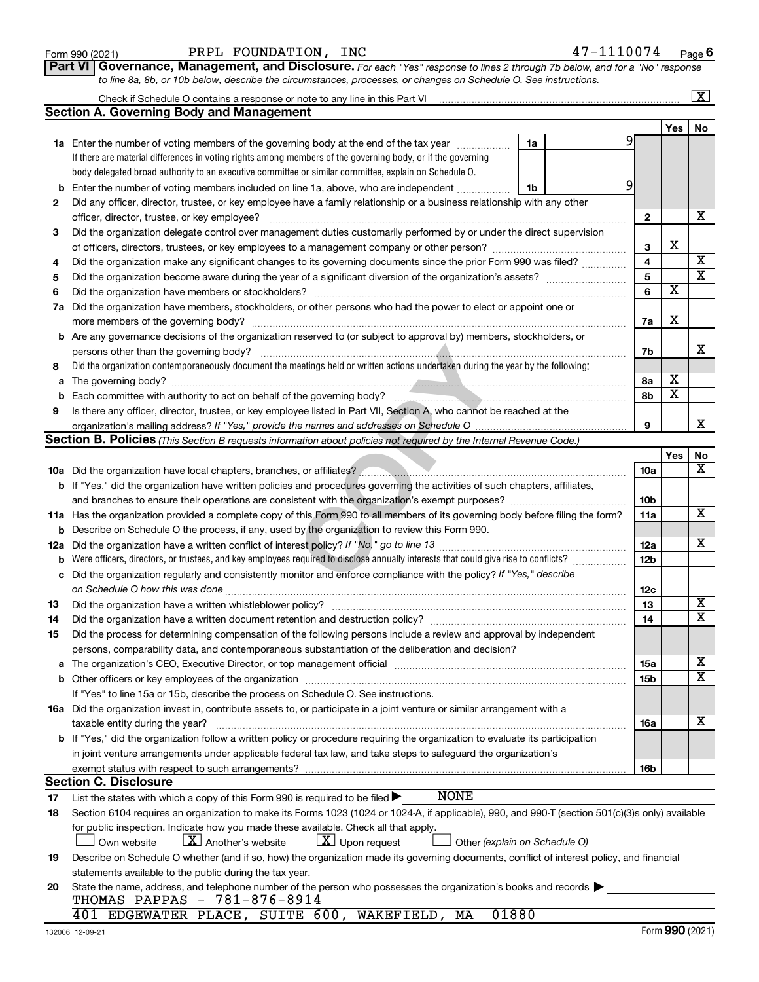| Form 990 (2021) |  |
|-----------------|--|
|-----------------|--|

**Part VI** Governance, Management, and Disclosure. For each "Yes" response to lines 2 through 7b below, and for a "No" response *to line 8a, 8b, or 10b below, describe the circumstances, processes, or changes on Schedule O. See instructions.*

|     |                                                                                                                                                  |                 |                         | $\mathbf{X}$            |
|-----|--------------------------------------------------------------------------------------------------------------------------------------------------|-----------------|-------------------------|-------------------------|
|     | <b>Section A. Governing Body and Management</b>                                                                                                  |                 |                         |                         |
|     |                                                                                                                                                  |                 | Yes                     | No                      |
|     | <b>1a</b> Enter the number of voting members of the governing body at the end of the tax year<br>1a                                              | 91              |                         |                         |
|     | If there are material differences in voting rights among members of the governing body, or if the governing                                      |                 |                         |                         |
|     | body delegated broad authority to an executive committee or similar committee, explain on Schedule O.                                            |                 |                         |                         |
| b   | Enter the number of voting members included on line 1a, above, who are independent<br>1b                                                         | 9               |                         |                         |
| 2   | Did any officer, director, trustee, or key employee have a family relationship or a business relationship with any other                         |                 |                         |                         |
|     | officer, director, trustee, or key employee?                                                                                                     | $\mathbf{2}$    |                         | x                       |
| 3   | Did the organization delegate control over management duties customarily performed by or under the direct supervision                            |                 |                         |                         |
|     |                                                                                                                                                  | 3               | х                       |                         |
| 4   | Did the organization make any significant changes to its governing documents since the prior Form 990 was filed?                                 | 4               |                         | X                       |
| 5   |                                                                                                                                                  | 5               |                         | $\overline{\textbf{x}}$ |
| 6   | Did the organization have members or stockholders?                                                                                               | 6               | $\overline{\mathbf{x}}$ |                         |
| 7a  | Did the organization have members, stockholders, or other persons who had the power to elect or appoint one or                                   |                 |                         |                         |
|     |                                                                                                                                                  | 7a              | х                       |                         |
|     | <b>b</b> Are any governance decisions of the organization reserved to (or subject to approval by) members, stockholders, or                      |                 |                         |                         |
|     | persons other than the governing body?                                                                                                           | 7b              |                         | X.                      |
| 8   | Did the organization contemporaneously document the meetings held or written actions undertaken during the year by the following:                |                 |                         |                         |
| a   |                                                                                                                                                  | 8а              | х                       |                         |
| b   |                                                                                                                                                  | 8b              | $\overline{\mathbf{x}}$ |                         |
| 9   | Is there any officer, director, trustee, or key employee listed in Part VII, Section A, who cannot be reached at the                             |                 |                         |                         |
|     |                                                                                                                                                  | 9               |                         | x                       |
|     | <b>Section B. Policies</b> (This Section B requests information about policies not required by the Internal Revenue Code.)                       |                 |                         |                         |
|     |                                                                                                                                                  |                 | Yes                     | No                      |
|     |                                                                                                                                                  | 10a             |                         | х                       |
|     | b If "Yes," did the organization have written policies and procedures governing the activities of such chapters, affiliates,                     |                 |                         |                         |
|     |                                                                                                                                                  | 10b             |                         |                         |
|     | 11a Has the organization provided a complete copy of this Form 990 to all members of its governing body before filing the form?                  | 11a             |                         | x                       |
|     | b Describe on Schedule O the process, if any, used by the organization to review this Form 990.                                                  |                 |                         |                         |
| 12a |                                                                                                                                                  | 12a             |                         | x                       |
| b   | Were officers, directors, or trustees, and key employees required to disclose annually interests that could give rise to conflicts?              | 12 <sub>b</sub> |                         |                         |
| с   | Did the organization regularly and consistently monitor and enforce compliance with the policy? If "Yes," describe                               |                 |                         |                         |
|     | on Schedule O how this was done                                                                                                                  | 12c             |                         |                         |
| 13  | Did the organization have a written whistleblower policy?                                                                                        | 13              |                         | x                       |
| 14  |                                                                                                                                                  | 14              |                         | $\overline{\text{X}}$   |
| 15  | Did the process for determining compensation of the following persons include a review and approval by independent                               |                 |                         |                         |
|     | persons, comparability data, and contemporaneous substantiation of the deliberation and decision?                                                |                 |                         |                         |
|     |                                                                                                                                                  | 15a             |                         | x                       |
|     |                                                                                                                                                  | 15b             |                         | $\overline{\text{X}}$   |
|     | If "Yes" to line 15a or 15b, describe the process on Schedule O. See instructions.                                                               |                 |                         |                         |
|     | 16a Did the organization invest in, contribute assets to, or participate in a joint venture or similar arrangement with a                        |                 |                         |                         |
|     | taxable entity during the year?                                                                                                                  | 16a             |                         | х                       |
|     | b If "Yes," did the organization follow a written policy or procedure requiring the organization to evaluate its participation                   |                 |                         |                         |
|     | in joint venture arrangements under applicable federal tax law, and take steps to safeguard the organization's                                   |                 |                         |                         |
|     | exempt status with respect to such arrangements?                                                                                                 | 16b             |                         |                         |
|     | <b>Section C. Disclosure</b>                                                                                                                     |                 |                         |                         |
| 17  | <b>NONE</b><br>List the states with which a copy of this Form 990 is required to be filed $\blacktriangleright$                                  |                 |                         |                         |
| 18  | Section 6104 requires an organization to make its Forms 1023 (1024 or 1024-A, if applicable), 990, and 990-T (section 501(c)(3)s only) available |                 |                         |                         |
|     | for public inspection. Indicate how you made these available. Check all that apply.                                                              |                 |                         |                         |
|     | $\lfloor X \rfloor$ Another's website<br>$\lfloor \underline{X} \rfloor$ Upon request<br>Own website<br>Other (explain on Schedule O)            |                 |                         |                         |
| 19  | Describe on Schedule O whether (and if so, how) the organization made its governing documents, conflict of interest policy, and financial        |                 |                         |                         |
|     | statements available to the public during the tax year.                                                                                          |                 |                         |                         |
| 20  | State the name, address, and telephone number of the person who possesses the organization's books and records                                   |                 |                         |                         |
|     | THOMAS PAPPAS - 781-876-8914                                                                                                                     |                 |                         |                         |
|     | 401 EDGEWATER PLACE, SUITE 600, WAKEFIELD, MA<br>01880                                                                                           |                 |                         |                         |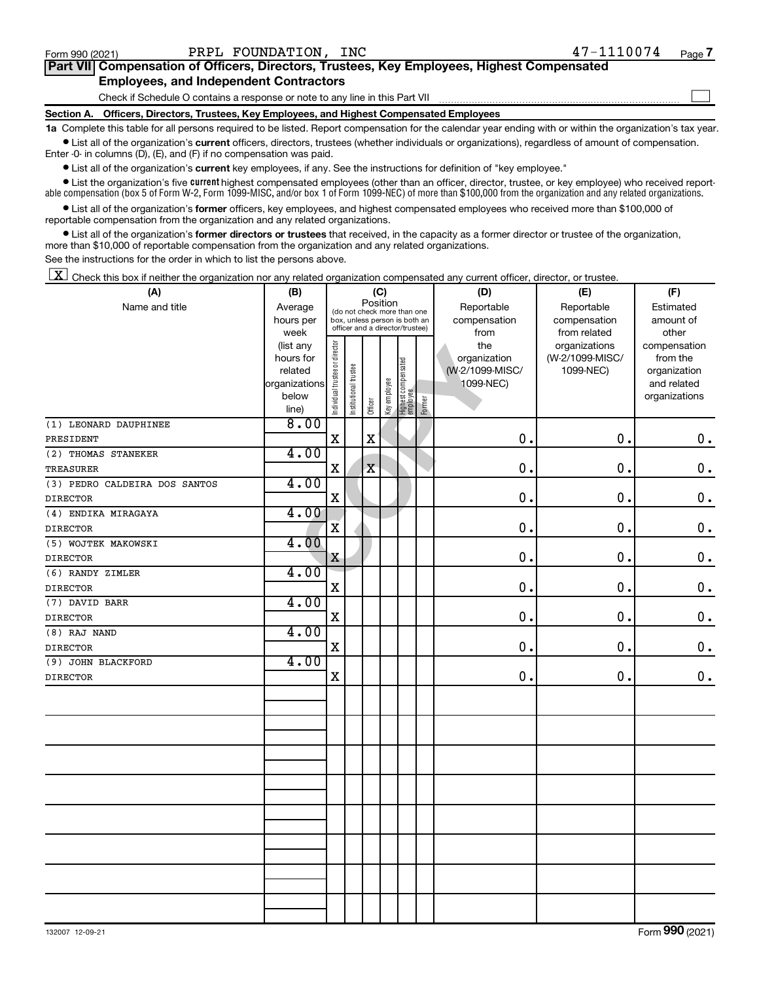$\Box$ 

| Part VII Compensation of Officers, Directors, Trustees, Key Employees, Highest Compensated |  |  |
|--------------------------------------------------------------------------------------------|--|--|
| <b>Employees, and Independent Contractors</b>                                              |  |  |

Check if Schedule O contains a response or note to any line in this Part VII

**Section A. Officers, Directors, Trustees, Key Employees, and Highest Compensated Employees**

**1a**  Complete this table for all persons required to be listed. Report compensation for the calendar year ending with or within the organization's tax year.  $\bullet$  List all of the organization's current officers, directors, trustees (whether individuals or organizations), regardless of amount of compensation.

Enter -0- in columns (D), (E), and (F) if no compensation was paid.

**•** List all of the organization's **current** key employees, if any. See the instructions for definition of "key employee."

• List the organization's five *current* highest compensated employees (other than an officer, director, trustee, or key employee) who received reportable compensation (box 5 of Form W-2, Form 1099-MISC, and/or box 1 of Form 1099-NEC) of more than \$100,000 from the organization and any related organizations.

 $\bullet$  List all of the organization's former officers, key employees, and highest compensated employees who received more than \$100,000 of reportable compensation from the organization and any related organizations.

**•** List all of the organization's former directors or trustees that received, in the capacity as a former director or trustee of the organization, more than \$10,000 of reportable compensation from the organization and any related organizations.

See the instructions for the order in which to list the persons above.

 $\boxed{\textbf{X}}$  Check this box if neither the organization nor any related organization compensated any current officer, director, or trustee.

| (A)                           | (B)                    | (C)                                                                                                                      |                       |             |              |                                  |            | (D)             | (E)             | (F)                          |
|-------------------------------|------------------------|--------------------------------------------------------------------------------------------------------------------------|-----------------------|-------------|--------------|----------------------------------|------------|-----------------|-----------------|------------------------------|
| Name and title                | Average                | Position<br>(do not check more than one<br>hours per<br>box, unless person is both an<br>officer and a director/trustee) |                       |             |              |                                  | Reportable | Reportable      | Estimated       |                              |
|                               |                        |                                                                                                                          |                       |             |              |                                  |            | compensation    | compensation    | amount of                    |
|                               | week                   |                                                                                                                          |                       |             |              |                                  |            | from            | from related    | other                        |
|                               | (list any              |                                                                                                                          |                       |             |              |                                  |            | the             | organizations   | compensation                 |
|                               | hours for              |                                                                                                                          |                       |             |              |                                  |            | organization    | (W-2/1099-MISC/ | from the                     |
|                               | related                |                                                                                                                          |                       |             |              |                                  |            | (W-2/1099-MISC/ | 1099-NEC)       | organization                 |
|                               | organizations<br>below |                                                                                                                          |                       |             |              |                                  |            | 1099-NEC)       |                 | and related<br>organizations |
|                               | line)                  | Individual trustee or director                                                                                           | Institutional trustee | Officer     | Key employee | Highest compensated<br> employee | Former     |                 |                 |                              |
| (1) LEONARD DAUPHINEE         | 8.00                   |                                                                                                                          |                       |             |              |                                  |            |                 |                 |                              |
| PRESIDENT                     |                        | $\mathbf X$                                                                                                              |                       | $\mathbf x$ |              |                                  |            | 0.              | 0.              | $\mathbf 0$ .                |
| (2) THOMAS STANEKER           | 4.00                   |                                                                                                                          |                       |             |              |                                  |            |                 |                 |                              |
| <b>TREASURER</b>              |                        | $\mathbf X$                                                                                                              |                       | $\mathbf X$ |              |                                  |            | 0.              | 0.              | $\mathbf 0$ .                |
| (3) PEDRO CALDEIRA DOS SANTOS | 4.00                   |                                                                                                                          |                       |             |              |                                  |            |                 |                 |                              |
| <b>DIRECTOR</b>               |                        | $\mathbf X$                                                                                                              |                       |             |              |                                  |            | 0.              | $\mathbf 0$ .   | $\mathbf 0$ .                |
| (4) ENDIKA MIRAGAYA           | 4.00                   |                                                                                                                          |                       |             |              |                                  |            |                 |                 |                              |
| <b>DIRECTOR</b>               |                        | $\overline{\textbf{X}}$                                                                                                  |                       |             |              |                                  |            | $\mathbf 0$ .   | 0.              | $\mathbf 0$ .                |
| (5) WOJTEK MAKOWSKI           | 4.00                   |                                                                                                                          |                       |             |              |                                  |            |                 |                 |                              |
| <b>DIRECTOR</b>               |                        | X                                                                                                                        |                       |             |              |                                  |            | 0.              | 0.              | $0$ .                        |
| (6) RANDY ZIMLER              | 4.00                   |                                                                                                                          |                       |             |              |                                  |            |                 |                 |                              |
| <b>DIRECTOR</b>               |                        | X                                                                                                                        |                       |             |              |                                  |            | 0.              | 0.              | $0$ .                        |
| (7) DAVID BARR                | 4.00                   |                                                                                                                          |                       |             |              |                                  |            |                 |                 |                              |
| <b>DIRECTOR</b>               |                        | $\mathbf X$                                                                                                              |                       |             |              |                                  |            | $\mathbf 0$ .   | $\mathbf 0$ .   | $\mathbf 0$ .                |
| (8) RAJ NAND                  | 4.00                   |                                                                                                                          |                       |             |              |                                  |            |                 |                 |                              |
| <b>DIRECTOR</b>               |                        | $\mathbf X$                                                                                                              |                       |             |              |                                  |            | 0.              | $\mathbf 0$ .   | $0$ .                        |
| (9) JOHN BLACKFORD            | 4.00                   |                                                                                                                          |                       |             |              |                                  |            |                 |                 |                              |
| <b>DIRECTOR</b>               |                        | $\mathbf X$                                                                                                              |                       |             |              |                                  |            | 0.              | $\mathbf 0$ .   | 0.                           |
|                               |                        |                                                                                                                          |                       |             |              |                                  |            |                 |                 |                              |
|                               |                        |                                                                                                                          |                       |             |              |                                  |            |                 |                 |                              |
|                               |                        |                                                                                                                          |                       |             |              |                                  |            |                 |                 |                              |
|                               |                        |                                                                                                                          |                       |             |              |                                  |            |                 |                 |                              |
|                               |                        |                                                                                                                          |                       |             |              |                                  |            |                 |                 |                              |
|                               |                        |                                                                                                                          |                       |             |              |                                  |            |                 |                 |                              |
|                               |                        |                                                                                                                          |                       |             |              |                                  |            |                 |                 |                              |
|                               |                        |                                                                                                                          |                       |             |              |                                  |            |                 |                 |                              |
|                               |                        |                                                                                                                          |                       |             |              |                                  |            |                 |                 |                              |
|                               |                        |                                                                                                                          |                       |             |              |                                  |            |                 |                 |                              |
|                               |                        |                                                                                                                          |                       |             |              |                                  |            |                 |                 |                              |
|                               |                        |                                                                                                                          |                       |             |              |                                  |            |                 |                 |                              |
|                               |                        |                                                                                                                          |                       |             |              |                                  |            |                 |                 |                              |
|                               |                        |                                                                                                                          |                       |             |              |                                  |            |                 |                 |                              |
|                               |                        |                                                                                                                          |                       |             |              |                                  |            |                 |                 |                              |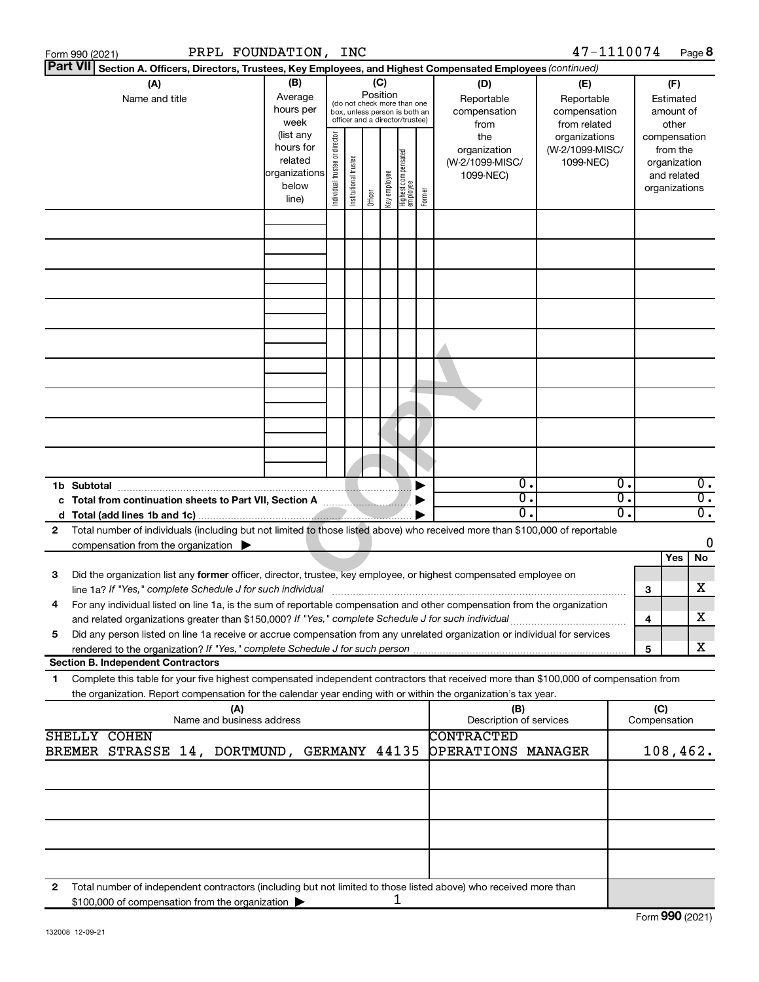| Section A. Officers, Directors, Trustees, Key Employees, and Highest Compensated Employees (continued)<br>(B)<br>(C)<br>(A)<br>(D)<br>(F)<br>(E)<br>Position<br>Average<br>Name and title<br>Reportable<br>Reportable<br>Estimated<br>(do not check more than one<br>hours per<br>compensation<br>compensation<br>amount of<br>box, unless person is both an<br>officer and a director/trustee)<br>week<br>from related<br>other<br>from<br>(list any<br>Individual trustee or director<br>the<br>organizations<br>compensation<br>hours for<br>(W-2/1099-MISC/<br>organization<br>from the<br>  Highest compensated<br>  employee<br>Institutional trustee<br>related<br>(W-2/1099-MISC/<br>1099-NEC)<br>organization<br>organizations<br>Key employee<br>1099-NEC)<br>and related<br>below<br>organizations<br>Former<br>Officer<br>line)<br>$\overline{\mathfrak{o}}$ .<br>$\overline{0}$ .<br>$\overline{0}$ .<br>1b Subtotal<br>$\overline{0}$ .<br>σ.<br>σ.<br>c Total from continuation sheets to Part VII, Section A manuscription of<br>$\overline{0}$ .<br>$\overline{0}$ .<br>ο.<br>Total number of individuals (including but not limited to those listed above) who received more than \$100,000 of reportable<br>2<br>0<br>compensation from the organization $\blacktriangleright$<br>No<br>Yes<br>Did the organization list any former officer, director, trustee, key employee, or highest compensated employee on<br>3<br>х<br>З<br>For any individual listed on line 1a, is the sum of reportable compensation and other compensation from the organization<br>х<br>and related organizations greater than \$150,000? If "Yes," complete Schedule J for such individual<br>4<br>Did any person listed on line 1a receive or accrue compensation from any unrelated organization or individual for services<br>5<br>x<br>5<br><b>Section B. Independent Contractors</b><br>Complete this table for your five highest compensated independent contractors that received more than \$100,000 of compensation from<br>1<br>the organization. Report compensation for the calendar year ending with or within the organization's tax year.<br>(C)<br>(A)<br>(B)<br>Description of services<br>Name and business address<br>Compensation<br>SHELLY COHEN<br><b>CONTRACTED</b><br>OPERATIONS MANAGER<br>108,462.<br>BREMER STRASSE 14, DORTMUND, GERMANY 44135<br>Total number of independent contractors (including but not limited to those listed above) who received more than<br>2<br>1<br>\$100,000 of compensation from the organization | Form 990 (2021) | PRPL FOUNDATION, | <b>INC</b> |  |  | 47-1110074 |  | Page 8 |  |
|-------------------------------------------------------------------------------------------------------------------------------------------------------------------------------------------------------------------------------------------------------------------------------------------------------------------------------------------------------------------------------------------------------------------------------------------------------------------------------------------------------------------------------------------------------------------------------------------------------------------------------------------------------------------------------------------------------------------------------------------------------------------------------------------------------------------------------------------------------------------------------------------------------------------------------------------------------------------------------------------------------------------------------------------------------------------------------------------------------------------------------------------------------------------------------------------------------------------------------------------------------------------------------------------------------------------------------------------------------------------------------------------------------------------------------------------------------------------------------------------------------------------------------------------------------------------------------------------------------------------------------------------------------------------------------------------------------------------------------------------------------------------------------------------------------------------------------------------------------------------------------------------------------------------------------------------------------------------------------------------------------------------------------------------------------------------------------------------------------------------------------------------------------------------------------------------------------------------------------------------------------------------------------------------------------------------------------------------------------------------------------------------------------------------------------------------------------------------------------------------------------------------------------------------------------------|-----------------|------------------|------------|--|--|------------|--|--------|--|
|                                                                                                                                                                                                                                                                                                                                                                                                                                                                                                                                                                                                                                                                                                                                                                                                                                                                                                                                                                                                                                                                                                                                                                                                                                                                                                                                                                                                                                                                                                                                                                                                                                                                                                                                                                                                                                                                                                                                                                                                                                                                                                                                                                                                                                                                                                                                                                                                                                                                                                                                                             | <b>Part VII</b> |                  |            |  |  |            |  |        |  |
|                                                                                                                                                                                                                                                                                                                                                                                                                                                                                                                                                                                                                                                                                                                                                                                                                                                                                                                                                                                                                                                                                                                                                                                                                                                                                                                                                                                                                                                                                                                                                                                                                                                                                                                                                                                                                                                                                                                                                                                                                                                                                                                                                                                                                                                                                                                                                                                                                                                                                                                                                             |                 |                  |            |  |  |            |  |        |  |
|                                                                                                                                                                                                                                                                                                                                                                                                                                                                                                                                                                                                                                                                                                                                                                                                                                                                                                                                                                                                                                                                                                                                                                                                                                                                                                                                                                                                                                                                                                                                                                                                                                                                                                                                                                                                                                                                                                                                                                                                                                                                                                                                                                                                                                                                                                                                                                                                                                                                                                                                                             |                 |                  |            |  |  |            |  |        |  |
|                                                                                                                                                                                                                                                                                                                                                                                                                                                                                                                                                                                                                                                                                                                                                                                                                                                                                                                                                                                                                                                                                                                                                                                                                                                                                                                                                                                                                                                                                                                                                                                                                                                                                                                                                                                                                                                                                                                                                                                                                                                                                                                                                                                                                                                                                                                                                                                                                                                                                                                                                             |                 |                  |            |  |  |            |  |        |  |
|                                                                                                                                                                                                                                                                                                                                                                                                                                                                                                                                                                                                                                                                                                                                                                                                                                                                                                                                                                                                                                                                                                                                                                                                                                                                                                                                                                                                                                                                                                                                                                                                                                                                                                                                                                                                                                                                                                                                                                                                                                                                                                                                                                                                                                                                                                                                                                                                                                                                                                                                                             |                 |                  |            |  |  |            |  |        |  |
|                                                                                                                                                                                                                                                                                                                                                                                                                                                                                                                                                                                                                                                                                                                                                                                                                                                                                                                                                                                                                                                                                                                                                                                                                                                                                                                                                                                                                                                                                                                                                                                                                                                                                                                                                                                                                                                                                                                                                                                                                                                                                                                                                                                                                                                                                                                                                                                                                                                                                                                                                             |                 |                  |            |  |  |            |  |        |  |
|                                                                                                                                                                                                                                                                                                                                                                                                                                                                                                                                                                                                                                                                                                                                                                                                                                                                                                                                                                                                                                                                                                                                                                                                                                                                                                                                                                                                                                                                                                                                                                                                                                                                                                                                                                                                                                                                                                                                                                                                                                                                                                                                                                                                                                                                                                                                                                                                                                                                                                                                                             |                 |                  |            |  |  |            |  |        |  |
|                                                                                                                                                                                                                                                                                                                                                                                                                                                                                                                                                                                                                                                                                                                                                                                                                                                                                                                                                                                                                                                                                                                                                                                                                                                                                                                                                                                                                                                                                                                                                                                                                                                                                                                                                                                                                                                                                                                                                                                                                                                                                                                                                                                                                                                                                                                                                                                                                                                                                                                                                             |                 |                  |            |  |  |            |  |        |  |
|                                                                                                                                                                                                                                                                                                                                                                                                                                                                                                                                                                                                                                                                                                                                                                                                                                                                                                                                                                                                                                                                                                                                                                                                                                                                                                                                                                                                                                                                                                                                                                                                                                                                                                                                                                                                                                                                                                                                                                                                                                                                                                                                                                                                                                                                                                                                                                                                                                                                                                                                                             |                 |                  |            |  |  |            |  |        |  |
|                                                                                                                                                                                                                                                                                                                                                                                                                                                                                                                                                                                                                                                                                                                                                                                                                                                                                                                                                                                                                                                                                                                                                                                                                                                                                                                                                                                                                                                                                                                                                                                                                                                                                                                                                                                                                                                                                                                                                                                                                                                                                                                                                                                                                                                                                                                                                                                                                                                                                                                                                             |                 |                  |            |  |  |            |  |        |  |
|                                                                                                                                                                                                                                                                                                                                                                                                                                                                                                                                                                                                                                                                                                                                                                                                                                                                                                                                                                                                                                                                                                                                                                                                                                                                                                                                                                                                                                                                                                                                                                                                                                                                                                                                                                                                                                                                                                                                                                                                                                                                                                                                                                                                                                                                                                                                                                                                                                                                                                                                                             |                 |                  |            |  |  |            |  |        |  |
|                                                                                                                                                                                                                                                                                                                                                                                                                                                                                                                                                                                                                                                                                                                                                                                                                                                                                                                                                                                                                                                                                                                                                                                                                                                                                                                                                                                                                                                                                                                                                                                                                                                                                                                                                                                                                                                                                                                                                                                                                                                                                                                                                                                                                                                                                                                                                                                                                                                                                                                                                             |                 |                  |            |  |  |            |  |        |  |
|                                                                                                                                                                                                                                                                                                                                                                                                                                                                                                                                                                                                                                                                                                                                                                                                                                                                                                                                                                                                                                                                                                                                                                                                                                                                                                                                                                                                                                                                                                                                                                                                                                                                                                                                                                                                                                                                                                                                                                                                                                                                                                                                                                                                                                                                                                                                                                                                                                                                                                                                                             |                 |                  |            |  |  |            |  |        |  |
|                                                                                                                                                                                                                                                                                                                                                                                                                                                                                                                                                                                                                                                                                                                                                                                                                                                                                                                                                                                                                                                                                                                                                                                                                                                                                                                                                                                                                                                                                                                                                                                                                                                                                                                                                                                                                                                                                                                                                                                                                                                                                                                                                                                                                                                                                                                                                                                                                                                                                                                                                             |                 |                  |            |  |  |            |  |        |  |
|                                                                                                                                                                                                                                                                                                                                                                                                                                                                                                                                                                                                                                                                                                                                                                                                                                                                                                                                                                                                                                                                                                                                                                                                                                                                                                                                                                                                                                                                                                                                                                                                                                                                                                                                                                                                                                                                                                                                                                                                                                                                                                                                                                                                                                                                                                                                                                                                                                                                                                                                                             |                 |                  |            |  |  |            |  |        |  |
|                                                                                                                                                                                                                                                                                                                                                                                                                                                                                                                                                                                                                                                                                                                                                                                                                                                                                                                                                                                                                                                                                                                                                                                                                                                                                                                                                                                                                                                                                                                                                                                                                                                                                                                                                                                                                                                                                                                                                                                                                                                                                                                                                                                                                                                                                                                                                                                                                                                                                                                                                             |                 |                  |            |  |  |            |  |        |  |
|                                                                                                                                                                                                                                                                                                                                                                                                                                                                                                                                                                                                                                                                                                                                                                                                                                                                                                                                                                                                                                                                                                                                                                                                                                                                                                                                                                                                                                                                                                                                                                                                                                                                                                                                                                                                                                                                                                                                                                                                                                                                                                                                                                                                                                                                                                                                                                                                                                                                                                                                                             |                 |                  |            |  |  |            |  |        |  |
|                                                                                                                                                                                                                                                                                                                                                                                                                                                                                                                                                                                                                                                                                                                                                                                                                                                                                                                                                                                                                                                                                                                                                                                                                                                                                                                                                                                                                                                                                                                                                                                                                                                                                                                                                                                                                                                                                                                                                                                                                                                                                                                                                                                                                                                                                                                                                                                                                                                                                                                                                             |                 |                  |            |  |  |            |  |        |  |
|                                                                                                                                                                                                                                                                                                                                                                                                                                                                                                                                                                                                                                                                                                                                                                                                                                                                                                                                                                                                                                                                                                                                                                                                                                                                                                                                                                                                                                                                                                                                                                                                                                                                                                                                                                                                                                                                                                                                                                                                                                                                                                                                                                                                                                                                                                                                                                                                                                                                                                                                                             |                 |                  |            |  |  |            |  |        |  |
|                                                                                                                                                                                                                                                                                                                                                                                                                                                                                                                                                                                                                                                                                                                                                                                                                                                                                                                                                                                                                                                                                                                                                                                                                                                                                                                                                                                                                                                                                                                                                                                                                                                                                                                                                                                                                                                                                                                                                                                                                                                                                                                                                                                                                                                                                                                                                                                                                                                                                                                                                             |                 |                  |            |  |  |            |  |        |  |
|                                                                                                                                                                                                                                                                                                                                                                                                                                                                                                                                                                                                                                                                                                                                                                                                                                                                                                                                                                                                                                                                                                                                                                                                                                                                                                                                                                                                                                                                                                                                                                                                                                                                                                                                                                                                                                                                                                                                                                                                                                                                                                                                                                                                                                                                                                                                                                                                                                                                                                                                                             |                 |                  |            |  |  |            |  |        |  |
|                                                                                                                                                                                                                                                                                                                                                                                                                                                                                                                                                                                                                                                                                                                                                                                                                                                                                                                                                                                                                                                                                                                                                                                                                                                                                                                                                                                                                                                                                                                                                                                                                                                                                                                                                                                                                                                                                                                                                                                                                                                                                                                                                                                                                                                                                                                                                                                                                                                                                                                                                             |                 |                  |            |  |  |            |  |        |  |
|                                                                                                                                                                                                                                                                                                                                                                                                                                                                                                                                                                                                                                                                                                                                                                                                                                                                                                                                                                                                                                                                                                                                                                                                                                                                                                                                                                                                                                                                                                                                                                                                                                                                                                                                                                                                                                                                                                                                                                                                                                                                                                                                                                                                                                                                                                                                                                                                                                                                                                                                                             |                 |                  |            |  |  |            |  |        |  |
|                                                                                                                                                                                                                                                                                                                                                                                                                                                                                                                                                                                                                                                                                                                                                                                                                                                                                                                                                                                                                                                                                                                                                                                                                                                                                                                                                                                                                                                                                                                                                                                                                                                                                                                                                                                                                                                                                                                                                                                                                                                                                                                                                                                                                                                                                                                                                                                                                                                                                                                                                             |                 |                  |            |  |  |            |  |        |  |
|                                                                                                                                                                                                                                                                                                                                                                                                                                                                                                                                                                                                                                                                                                                                                                                                                                                                                                                                                                                                                                                                                                                                                                                                                                                                                                                                                                                                                                                                                                                                                                                                                                                                                                                                                                                                                                                                                                                                                                                                                                                                                                                                                                                                                                                                                                                                                                                                                                                                                                                                                             |                 |                  |            |  |  |            |  |        |  |
|                                                                                                                                                                                                                                                                                                                                                                                                                                                                                                                                                                                                                                                                                                                                                                                                                                                                                                                                                                                                                                                                                                                                                                                                                                                                                                                                                                                                                                                                                                                                                                                                                                                                                                                                                                                                                                                                                                                                                                                                                                                                                                                                                                                                                                                                                                                                                                                                                                                                                                                                                             |                 |                  |            |  |  |            |  |        |  |
|                                                                                                                                                                                                                                                                                                                                                                                                                                                                                                                                                                                                                                                                                                                                                                                                                                                                                                                                                                                                                                                                                                                                                                                                                                                                                                                                                                                                                                                                                                                                                                                                                                                                                                                                                                                                                                                                                                                                                                                                                                                                                                                                                                                                                                                                                                                                                                                                                                                                                                                                                             |                 |                  |            |  |  |            |  |        |  |
|                                                                                                                                                                                                                                                                                                                                                                                                                                                                                                                                                                                                                                                                                                                                                                                                                                                                                                                                                                                                                                                                                                                                                                                                                                                                                                                                                                                                                                                                                                                                                                                                                                                                                                                                                                                                                                                                                                                                                                                                                                                                                                                                                                                                                                                                                                                                                                                                                                                                                                                                                             |                 |                  |            |  |  |            |  |        |  |
|                                                                                                                                                                                                                                                                                                                                                                                                                                                                                                                                                                                                                                                                                                                                                                                                                                                                                                                                                                                                                                                                                                                                                                                                                                                                                                                                                                                                                                                                                                                                                                                                                                                                                                                                                                                                                                                                                                                                                                                                                                                                                                                                                                                                                                                                                                                                                                                                                                                                                                                                                             |                 |                  |            |  |  |            |  |        |  |
|                                                                                                                                                                                                                                                                                                                                                                                                                                                                                                                                                                                                                                                                                                                                                                                                                                                                                                                                                                                                                                                                                                                                                                                                                                                                                                                                                                                                                                                                                                                                                                                                                                                                                                                                                                                                                                                                                                                                                                                                                                                                                                                                                                                                                                                                                                                                                                                                                                                                                                                                                             |                 |                  |            |  |  |            |  |        |  |
|                                                                                                                                                                                                                                                                                                                                                                                                                                                                                                                                                                                                                                                                                                                                                                                                                                                                                                                                                                                                                                                                                                                                                                                                                                                                                                                                                                                                                                                                                                                                                                                                                                                                                                                                                                                                                                                                                                                                                                                                                                                                                                                                                                                                                                                                                                                                                                                                                                                                                                                                                             |                 |                  |            |  |  |            |  |        |  |
|                                                                                                                                                                                                                                                                                                                                                                                                                                                                                                                                                                                                                                                                                                                                                                                                                                                                                                                                                                                                                                                                                                                                                                                                                                                                                                                                                                                                                                                                                                                                                                                                                                                                                                                                                                                                                                                                                                                                                                                                                                                                                                                                                                                                                                                                                                                                                                                                                                                                                                                                                             |                 |                  |            |  |  |            |  |        |  |
|                                                                                                                                                                                                                                                                                                                                                                                                                                                                                                                                                                                                                                                                                                                                                                                                                                                                                                                                                                                                                                                                                                                                                                                                                                                                                                                                                                                                                                                                                                                                                                                                                                                                                                                                                                                                                                                                                                                                                                                                                                                                                                                                                                                                                                                                                                                                                                                                                                                                                                                                                             |                 |                  |            |  |  |            |  |        |  |
|                                                                                                                                                                                                                                                                                                                                                                                                                                                                                                                                                                                                                                                                                                                                                                                                                                                                                                                                                                                                                                                                                                                                                                                                                                                                                                                                                                                                                                                                                                                                                                                                                                                                                                                                                                                                                                                                                                                                                                                                                                                                                                                                                                                                                                                                                                                                                                                                                                                                                                                                                             |                 |                  |            |  |  |            |  |        |  |
|                                                                                                                                                                                                                                                                                                                                                                                                                                                                                                                                                                                                                                                                                                                                                                                                                                                                                                                                                                                                                                                                                                                                                                                                                                                                                                                                                                                                                                                                                                                                                                                                                                                                                                                                                                                                                                                                                                                                                                                                                                                                                                                                                                                                                                                                                                                                                                                                                                                                                                                                                             |                 |                  |            |  |  |            |  |        |  |
|                                                                                                                                                                                                                                                                                                                                                                                                                                                                                                                                                                                                                                                                                                                                                                                                                                                                                                                                                                                                                                                                                                                                                                                                                                                                                                                                                                                                                                                                                                                                                                                                                                                                                                                                                                                                                                                                                                                                                                                                                                                                                                                                                                                                                                                                                                                                                                                                                                                                                                                                                             |                 |                  |            |  |  |            |  |        |  |
|                                                                                                                                                                                                                                                                                                                                                                                                                                                                                                                                                                                                                                                                                                                                                                                                                                                                                                                                                                                                                                                                                                                                                                                                                                                                                                                                                                                                                                                                                                                                                                                                                                                                                                                                                                                                                                                                                                                                                                                                                                                                                                                                                                                                                                                                                                                                                                                                                                                                                                                                                             |                 |                  |            |  |  |            |  |        |  |
|                                                                                                                                                                                                                                                                                                                                                                                                                                                                                                                                                                                                                                                                                                                                                                                                                                                                                                                                                                                                                                                                                                                                                                                                                                                                                                                                                                                                                                                                                                                                                                                                                                                                                                                                                                                                                                                                                                                                                                                                                                                                                                                                                                                                                                                                                                                                                                                                                                                                                                                                                             |                 |                  |            |  |  |            |  |        |  |
|                                                                                                                                                                                                                                                                                                                                                                                                                                                                                                                                                                                                                                                                                                                                                                                                                                                                                                                                                                                                                                                                                                                                                                                                                                                                                                                                                                                                                                                                                                                                                                                                                                                                                                                                                                                                                                                                                                                                                                                                                                                                                                                                                                                                                                                                                                                                                                                                                                                                                                                                                             |                 |                  |            |  |  |            |  |        |  |
|                                                                                                                                                                                                                                                                                                                                                                                                                                                                                                                                                                                                                                                                                                                                                                                                                                                                                                                                                                                                                                                                                                                                                                                                                                                                                                                                                                                                                                                                                                                                                                                                                                                                                                                                                                                                                                                                                                                                                                                                                                                                                                                                                                                                                                                                                                                                                                                                                                                                                                                                                             |                 |                  |            |  |  |            |  |        |  |
|                                                                                                                                                                                                                                                                                                                                                                                                                                                                                                                                                                                                                                                                                                                                                                                                                                                                                                                                                                                                                                                                                                                                                                                                                                                                                                                                                                                                                                                                                                                                                                                                                                                                                                                                                                                                                                                                                                                                                                                                                                                                                                                                                                                                                                                                                                                                                                                                                                                                                                                                                             |                 |                  |            |  |  |            |  |        |  |
|                                                                                                                                                                                                                                                                                                                                                                                                                                                                                                                                                                                                                                                                                                                                                                                                                                                                                                                                                                                                                                                                                                                                                                                                                                                                                                                                                                                                                                                                                                                                                                                                                                                                                                                                                                                                                                                                                                                                                                                                                                                                                                                                                                                                                                                                                                                                                                                                                                                                                                                                                             |                 |                  |            |  |  |            |  |        |  |
|                                                                                                                                                                                                                                                                                                                                                                                                                                                                                                                                                                                                                                                                                                                                                                                                                                                                                                                                                                                                                                                                                                                                                                                                                                                                                                                                                                                                                                                                                                                                                                                                                                                                                                                                                                                                                                                                                                                                                                                                                                                                                                                                                                                                                                                                                                                                                                                                                                                                                                                                                             |                 |                  |            |  |  |            |  |        |  |
|                                                                                                                                                                                                                                                                                                                                                                                                                                                                                                                                                                                                                                                                                                                                                                                                                                                                                                                                                                                                                                                                                                                                                                                                                                                                                                                                                                                                                                                                                                                                                                                                                                                                                                                                                                                                                                                                                                                                                                                                                                                                                                                                                                                                                                                                                                                                                                                                                                                                                                                                                             |                 |                  |            |  |  |            |  |        |  |
|                                                                                                                                                                                                                                                                                                                                                                                                                                                                                                                                                                                                                                                                                                                                                                                                                                                                                                                                                                                                                                                                                                                                                                                                                                                                                                                                                                                                                                                                                                                                                                                                                                                                                                                                                                                                                                                                                                                                                                                                                                                                                                                                                                                                                                                                                                                                                                                                                                                                                                                                                             |                 |                  |            |  |  |            |  |        |  |
|                                                                                                                                                                                                                                                                                                                                                                                                                                                                                                                                                                                                                                                                                                                                                                                                                                                                                                                                                                                                                                                                                                                                                                                                                                                                                                                                                                                                                                                                                                                                                                                                                                                                                                                                                                                                                                                                                                                                                                                                                                                                                                                                                                                                                                                                                                                                                                                                                                                                                                                                                             |                 |                  |            |  |  |            |  |        |  |
|                                                                                                                                                                                                                                                                                                                                                                                                                                                                                                                                                                                                                                                                                                                                                                                                                                                                                                                                                                                                                                                                                                                                                                                                                                                                                                                                                                                                                                                                                                                                                                                                                                                                                                                                                                                                                                                                                                                                                                                                                                                                                                                                                                                                                                                                                                                                                                                                                                                                                                                                                             |                 |                  |            |  |  |            |  |        |  |
|                                                                                                                                                                                                                                                                                                                                                                                                                                                                                                                                                                                                                                                                                                                                                                                                                                                                                                                                                                                                                                                                                                                                                                                                                                                                                                                                                                                                                                                                                                                                                                                                                                                                                                                                                                                                                                                                                                                                                                                                                                                                                                                                                                                                                                                                                                                                                                                                                                                                                                                                                             |                 |                  |            |  |  |            |  |        |  |
|                                                                                                                                                                                                                                                                                                                                                                                                                                                                                                                                                                                                                                                                                                                                                                                                                                                                                                                                                                                                                                                                                                                                                                                                                                                                                                                                                                                                                                                                                                                                                                                                                                                                                                                                                                                                                                                                                                                                                                                                                                                                                                                                                                                                                                                                                                                                                                                                                                                                                                                                                             |                 |                  |            |  |  |            |  |        |  |
|                                                                                                                                                                                                                                                                                                                                                                                                                                                                                                                                                                                                                                                                                                                                                                                                                                                                                                                                                                                                                                                                                                                                                                                                                                                                                                                                                                                                                                                                                                                                                                                                                                                                                                                                                                                                                                                                                                                                                                                                                                                                                                                                                                                                                                                                                                                                                                                                                                                                                                                                                             |                 |                  |            |  |  |            |  |        |  |
|                                                                                                                                                                                                                                                                                                                                                                                                                                                                                                                                                                                                                                                                                                                                                                                                                                                                                                                                                                                                                                                                                                                                                                                                                                                                                                                                                                                                                                                                                                                                                                                                                                                                                                                                                                                                                                                                                                                                                                                                                                                                                                                                                                                                                                                                                                                                                                                                                                                                                                                                                             |                 |                  |            |  |  |            |  |        |  |
|                                                                                                                                                                                                                                                                                                                                                                                                                                                                                                                                                                                                                                                                                                                                                                                                                                                                                                                                                                                                                                                                                                                                                                                                                                                                                                                                                                                                                                                                                                                                                                                                                                                                                                                                                                                                                                                                                                                                                                                                                                                                                                                                                                                                                                                                                                                                                                                                                                                                                                                                                             |                 |                  |            |  |  |            |  |        |  |
|                                                                                                                                                                                                                                                                                                                                                                                                                                                                                                                                                                                                                                                                                                                                                                                                                                                                                                                                                                                                                                                                                                                                                                                                                                                                                                                                                                                                                                                                                                                                                                                                                                                                                                                                                                                                                                                                                                                                                                                                                                                                                                                                                                                                                                                                                                                                                                                                                                                                                                                                                             |                 |                  |            |  |  |            |  |        |  |
|                                                                                                                                                                                                                                                                                                                                                                                                                                                                                                                                                                                                                                                                                                                                                                                                                                                                                                                                                                                                                                                                                                                                                                                                                                                                                                                                                                                                                                                                                                                                                                                                                                                                                                                                                                                                                                                                                                                                                                                                                                                                                                                                                                                                                                                                                                                                                                                                                                                                                                                                                             |                 |                  |            |  |  |            |  |        |  |
|                                                                                                                                                                                                                                                                                                                                                                                                                                                                                                                                                                                                                                                                                                                                                                                                                                                                                                                                                                                                                                                                                                                                                                                                                                                                                                                                                                                                                                                                                                                                                                                                                                                                                                                                                                                                                                                                                                                                                                                                                                                                                                                                                                                                                                                                                                                                                                                                                                                                                                                                                             |                 |                  |            |  |  |            |  |        |  |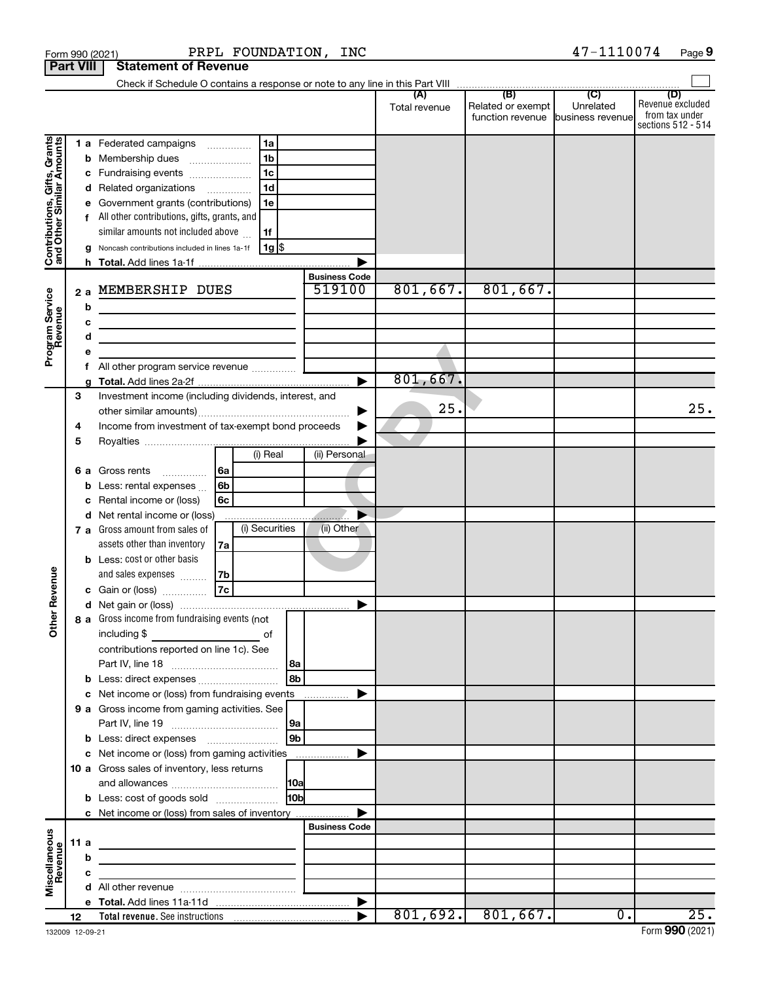|                                               |                  | PRPL FOUNDATION, INC<br>Form 990 (2021)                                                                              |                      |                      |                                              | 47-1110074                                      | Page 9                                    |
|-----------------------------------------------|------------------|----------------------------------------------------------------------------------------------------------------------|----------------------|----------------------|----------------------------------------------|-------------------------------------------------|-------------------------------------------|
|                                               | <b>Part VIII</b> | <b>Statement of Revenue</b>                                                                                          |                      |                      |                                              |                                                 |                                           |
|                                               |                  |                                                                                                                      |                      | (A)<br>Total revenue | (B)<br>Related or exempt<br>function revenue | $\overline{C}$<br>Unrelated<br>business revenue | (D)<br>Revenue excluded<br>from tax under |
|                                               |                  |                                                                                                                      |                      |                      |                                              |                                                 | sections 512 - 514                        |
| <b>i, Grants</b><br>Imounts                   |                  | 1a<br>1 a Federated campaigns                                                                                        |                      |                      |                                              |                                                 |                                           |
|                                               |                  | 1 <sub>b</sub><br><b>b</b> Membership dues<br>$\overline{\phantom{a}}$                                               |                      |                      |                                              |                                                 |                                           |
|                                               |                  | 1 <sub>c</sub><br>c Fundraising events                                                                               |                      |                      |                                              |                                                 |                                           |
| Contributions, Gifts,<br>and Other Similar An |                  | 1 <sub>d</sub><br>d Related organizations                                                                            |                      |                      |                                              |                                                 |                                           |
|                                               |                  | e Government grants (contributions)<br>1е<br>f All other contributions, gifts, grants, and                           |                      |                      |                                              |                                                 |                                           |
|                                               |                  | similar amounts not included above<br>1f                                                                             |                      |                      |                                              |                                                 |                                           |
|                                               |                  | 1g  \$<br>g Noncash contributions included in lines 1a-1f                                                            |                      |                      |                                              |                                                 |                                           |
|                                               |                  |                                                                                                                      |                      |                      |                                              |                                                 |                                           |
|                                               |                  |                                                                                                                      | <b>Business Code</b> |                      |                                              |                                                 |                                           |
|                                               | 2a               | MEMBERSHIP DUES                                                                                                      | 519100               | 801,667.             | 801,667.                                     |                                                 |                                           |
|                                               |                  | b<br><u> 1980 - Johann Stein, mars an dùthchan an t-</u>                                                             |                      |                      |                                              |                                                 |                                           |
|                                               |                  | c<br><u> 1989 - Johann Barbara, martxa alemaniar a</u>                                                               |                      |                      |                                              |                                                 |                                           |
|                                               |                  | d<br>the control of the control of the control of the control of the control of                                      |                      |                      |                                              |                                                 |                                           |
| Program Service<br>Revenue                    |                  |                                                                                                                      |                      |                      |                                              |                                                 |                                           |
|                                               |                  | All other program service revenue  [                                                                                 |                      | 801,667.             |                                              |                                                 |                                           |
|                                               | 3                | Investment income (including dividends, interest, and                                                                |                      |                      |                                              |                                                 |                                           |
|                                               |                  |                                                                                                                      |                      | 25.                  |                                              |                                                 | 25.                                       |
|                                               | 4                | Income from investment of tax-exempt bond proceeds                                                                   |                      |                      |                                              |                                                 |                                           |
|                                               | 5                |                                                                                                                      |                      |                      |                                              |                                                 |                                           |
|                                               |                  | (i) Real                                                                                                             | (ii) Personal        |                      |                                              |                                                 |                                           |
|                                               | 6а               | l 6a<br>Gross rents                                                                                                  |                      |                      |                                              |                                                 |                                           |
|                                               |                  | Less: rental expenses<br>6b<br>b                                                                                     |                      |                      |                                              |                                                 |                                           |
|                                               |                  | Rental income or (loss)<br>6с<br>с                                                                                   |                      |                      |                                              |                                                 |                                           |
|                                               |                  | d Net rental income or (loss)                                                                                        |                      |                      |                                              |                                                 |                                           |
|                                               |                  | (i) Securities<br>7 a Gross amount from sales of                                                                     | (ii) Other           |                      |                                              |                                                 |                                           |
|                                               |                  | assets other than inventory<br>7a<br><b>b</b> Less: cost or other basis                                              |                      |                      |                                              |                                                 |                                           |
|                                               |                  | and sales expenses<br>l 7b                                                                                           |                      |                      |                                              |                                                 |                                           |
| venue                                         |                  | $\overline{7c}$<br>c Gain or (loss)                                                                                  |                      |                      |                                              |                                                 |                                           |
|                                               |                  |                                                                                                                      |                      |                      |                                              |                                                 |                                           |
| Other R                                       |                  | 8 a Gross income from fundraising events (not                                                                        |                      |                      |                                              |                                                 |                                           |
|                                               |                  |                                                                                                                      |                      |                      |                                              |                                                 |                                           |
|                                               |                  | contributions reported on line 1c). See                                                                              |                      |                      |                                              |                                                 |                                           |
|                                               |                  | 8a                                                                                                                   |                      |                      |                                              |                                                 |                                           |
|                                               |                  | 8b                                                                                                                   |                      |                      |                                              |                                                 |                                           |
|                                               |                  | c Net income or (loss) from fundraising events                                                                       |                      |                      |                                              |                                                 |                                           |
|                                               |                  | 9 a Gross income from gaming activities. See                                                                         |                      |                      |                                              |                                                 |                                           |
|                                               |                  | 9a<br>9 <sub>b</sub>                                                                                                 |                      |                      |                                              |                                                 |                                           |
|                                               |                  | c Net income or (loss) from gaming activities                                                                        |                      |                      |                                              |                                                 |                                           |
|                                               |                  | 10 a Gross sales of inventory, less returns                                                                          |                      |                      |                                              |                                                 |                                           |
|                                               |                  | <b>10a</b>                                                                                                           |                      |                      |                                              |                                                 |                                           |
|                                               |                  | 10bl<br><b>b</b> Less: cost of goods sold                                                                            |                      |                      |                                              |                                                 |                                           |
|                                               |                  | c Net income or (loss) from sales of inventory                                                                       |                      |                      |                                              |                                                 |                                           |
|                                               |                  |                                                                                                                      | <b>Business Code</b> |                      |                                              |                                                 |                                           |
|                                               | 11 a             | <u> 1989 - Johann John Stein, markin fan it ferstjer fan de ferstjer fan it ferstjer fan it ferstjer fan it fers</u> |                      |                      |                                              |                                                 |                                           |
|                                               |                  | b                                                                                                                    |                      |                      |                                              |                                                 |                                           |
| Miscellaneous<br>Revenue                      |                  | с<br><u> 1989 - Andrea State Barbara, amerikan personal (</u>                                                        |                      |                      |                                              |                                                 |                                           |
|                                               |                  |                                                                                                                      |                      |                      |                                              |                                                 |                                           |
|                                               | 12               |                                                                                                                      |                      |                      | $801, 692.$ 801,667.                         | $\overline{0}$ .                                | 25.                                       |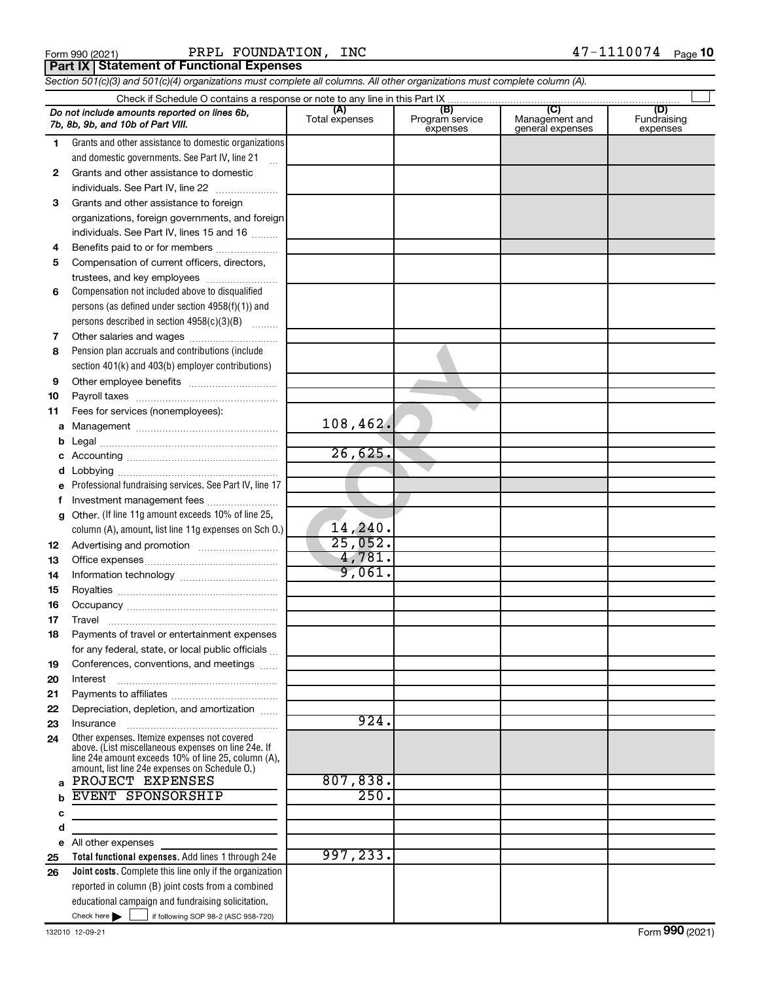|  | Form 990 (2021) |
|--|-----------------|
|  |                 |

Form 990 (2021) Page PRPL FOUNDATION, INC 47-1110074

**Part IX Statement of Functional Expenses**

*Section 501(c)(3) and 501(c)(4) organizations must complete all columns. All other organizations must complete column (A).*

|              | Do not include amounts reported on lines 6b,<br>7b, 8b, 9b, and 10b of Part VIII.                                                                                                                            | (A)<br>Total expenses | (B)<br>Program service<br>expenses | (C)<br>Management and<br>general expenses | (D)<br>Fundraising<br>expenses |
|--------------|--------------------------------------------------------------------------------------------------------------------------------------------------------------------------------------------------------------|-----------------------|------------------------------------|-------------------------------------------|--------------------------------|
| 1.           | Grants and other assistance to domestic organizations                                                                                                                                                        |                       |                                    |                                           |                                |
|              | and domestic governments. See Part IV, line 21                                                                                                                                                               |                       |                                    |                                           |                                |
| $\mathbf{2}$ | Grants and other assistance to domestic                                                                                                                                                                      |                       |                                    |                                           |                                |
|              | individuals. See Part IV, line 22                                                                                                                                                                            |                       |                                    |                                           |                                |
| 3            | Grants and other assistance to foreign                                                                                                                                                                       |                       |                                    |                                           |                                |
|              | organizations, foreign governments, and foreign                                                                                                                                                              |                       |                                    |                                           |                                |
|              | individuals. See Part IV, lines 15 and 16                                                                                                                                                                    |                       |                                    |                                           |                                |
| 4            | Benefits paid to or for members                                                                                                                                                                              |                       |                                    |                                           |                                |
| 5            | Compensation of current officers, directors,                                                                                                                                                                 |                       |                                    |                                           |                                |
|              | trustees, and key employees                                                                                                                                                                                  |                       |                                    |                                           |                                |
| 6            | Compensation not included above to disqualified                                                                                                                                                              |                       |                                    |                                           |                                |
|              | persons (as defined under section 4958(f)(1)) and                                                                                                                                                            |                       |                                    |                                           |                                |
|              | persons described in section 4958(c)(3)(B)                                                                                                                                                                   |                       |                                    |                                           |                                |
| 7            | Other salaries and wages                                                                                                                                                                                     |                       |                                    |                                           |                                |
| 8            | Pension plan accruals and contributions (include                                                                                                                                                             |                       |                                    |                                           |                                |
|              | section 401(k) and 403(b) employer contributions)                                                                                                                                                            |                       |                                    |                                           |                                |
| 9            |                                                                                                                                                                                                              |                       |                                    |                                           |                                |
| 10           |                                                                                                                                                                                                              |                       |                                    |                                           |                                |
| 11           | Fees for services (nonemployees):                                                                                                                                                                            |                       |                                    |                                           |                                |
| а            |                                                                                                                                                                                                              | 108,462.              |                                    |                                           |                                |
|              |                                                                                                                                                                                                              |                       |                                    |                                           |                                |
|              |                                                                                                                                                                                                              | 26,625.               |                                    |                                           |                                |
|              |                                                                                                                                                                                                              |                       |                                    |                                           |                                |
| е            | Professional fundraising services. See Part IV, line 17                                                                                                                                                      |                       |                                    |                                           |                                |
|              | Investment management fees                                                                                                                                                                                   |                       |                                    |                                           |                                |
| g            | Other. (If line 11g amount exceeds 10% of line 25,                                                                                                                                                           |                       |                                    |                                           |                                |
|              | column (A), amount, list line 11g expenses on Sch 0.)                                                                                                                                                        | 14, 240.              |                                    |                                           |                                |
| 12           |                                                                                                                                                                                                              | 25,052.               |                                    |                                           |                                |
| 13           |                                                                                                                                                                                                              | 4,781.                |                                    |                                           |                                |
| 14           |                                                                                                                                                                                                              | 9,061.                |                                    |                                           |                                |
| 15           |                                                                                                                                                                                                              |                       |                                    |                                           |                                |
| 16           |                                                                                                                                                                                                              |                       |                                    |                                           |                                |
| 17           |                                                                                                                                                                                                              |                       |                                    |                                           |                                |
| 18           | Payments of travel or entertainment expenses                                                                                                                                                                 |                       |                                    |                                           |                                |
|              | for any federal, state, or local public officials                                                                                                                                                            |                       |                                    |                                           |                                |
| 19           | Conferences, conventions, and meetings                                                                                                                                                                       |                       |                                    |                                           |                                |
| 20           | Interest                                                                                                                                                                                                     |                       |                                    |                                           |                                |
| 21           |                                                                                                                                                                                                              |                       |                                    |                                           |                                |
| 22           | Depreciation, depletion, and amortization                                                                                                                                                                    | 924.                  |                                    |                                           |                                |
| 23           | Insurance                                                                                                                                                                                                    |                       |                                    |                                           |                                |
| 24           | Other expenses. Itemize expenses not covered<br>above. (List miscellaneous expenses on line 24e. If<br>line 24e amount exceeds 10% of line 25, column (A),<br>amount, list line 24e expenses on Schedule O.) |                       |                                    |                                           |                                |
| a            | PROJECT EXPENSES                                                                                                                                                                                             | 807,838.              |                                    |                                           |                                |
|              | <b>EVENT SPONSORSHIP</b>                                                                                                                                                                                     | 250.                  |                                    |                                           |                                |
| с            |                                                                                                                                                                                                              |                       |                                    |                                           |                                |
| d            |                                                                                                                                                                                                              |                       |                                    |                                           |                                |
| е            | All other expenses                                                                                                                                                                                           |                       |                                    |                                           |                                |
| 25           | Total functional expenses. Add lines 1 through 24e                                                                                                                                                           | 997, 233.             |                                    |                                           |                                |
| 26           | Joint costs. Complete this line only if the organization                                                                                                                                                     |                       |                                    |                                           |                                |
|              | reported in column (B) joint costs from a combined                                                                                                                                                           |                       |                                    |                                           |                                |
|              | educational campaign and fundraising solicitation.<br>Check here $\blacktriangleright$                                                                                                                       |                       |                                    |                                           |                                |
|              | if following SOP 98-2 (ASC 958-720)                                                                                                                                                                          |                       |                                    |                                           |                                |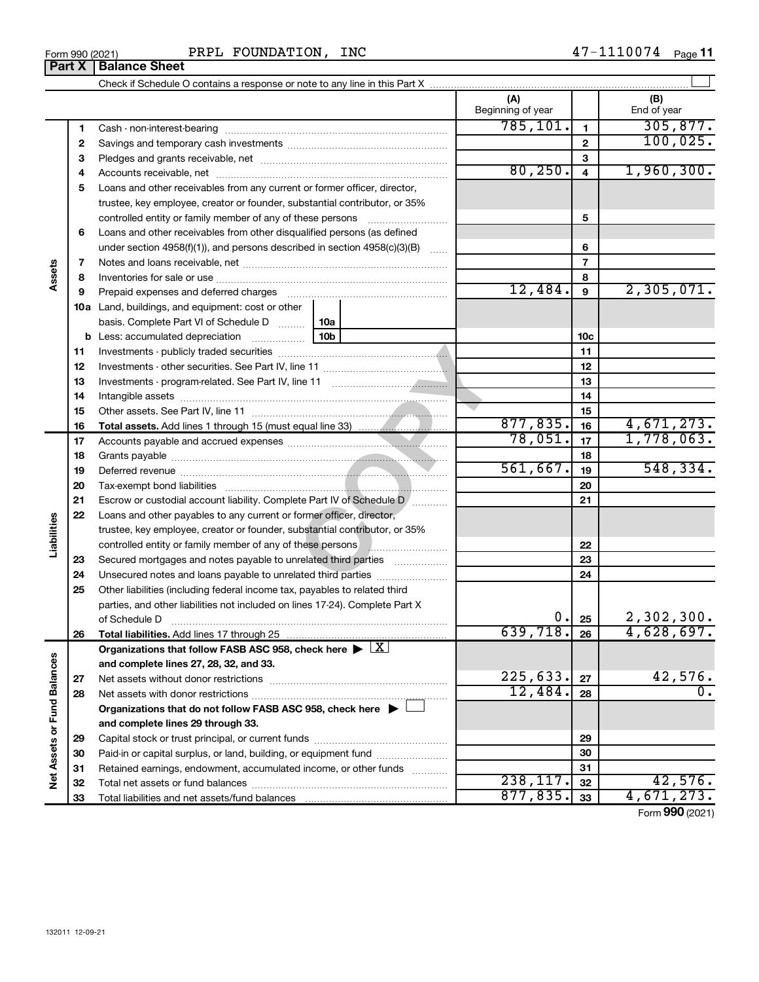Form 990 (2021) PRPL FOUNDATION, INC  $47-1110074$   $_{\text{Page}}$ **Part X Balance Sheet**

|                             |    |                                                                                                                                                                                                                                |          | (A)<br>Beginning of year |                 | (B)<br>End of year |
|-----------------------------|----|--------------------------------------------------------------------------------------------------------------------------------------------------------------------------------------------------------------------------------|----------|--------------------------|-----------------|--------------------|
|                             | 1  |                                                                                                                                                                                                                                |          | 785, 101.                | $\mathbf{1}$    | 305, 877.          |
|                             | 2  |                                                                                                                                                                                                                                |          |                          | $\mathbf{2}$    | 100,025.           |
|                             | З  |                                                                                                                                                                                                                                |          |                          | 3               |                    |
|                             | 4  |                                                                                                                                                                                                                                |          | 80, 250.                 | $\overline{4}$  | 1,960,300.         |
|                             | 5  | Loans and other receivables from any current or former officer, director,                                                                                                                                                      |          |                          |                 |                    |
|                             |    | trustee, key employee, creator or founder, substantial contributor, or 35%                                                                                                                                                     |          |                          |                 |                    |
|                             |    | controlled entity or family member of any of these persons                                                                                                                                                                     |          |                          | 5               |                    |
|                             | 6  | Loans and other receivables from other disqualified persons (as defined                                                                                                                                                        |          |                          |                 |                    |
|                             |    | under section $4958(f)(1)$ , and persons described in section $4958(c)(3)(B)$                                                                                                                                                  |          |                          | 6               |                    |
|                             | 7  |                                                                                                                                                                                                                                |          |                          | $\overline{7}$  |                    |
| Assets                      | 8  |                                                                                                                                                                                                                                |          |                          | 8               |                    |
|                             | 9  | Prepaid expenses and deferred charges [11] [11] prepaid expenses and deferred charges [11] [11] minimum and the Prepaid expenses and deferred charges [11] minimum and the Prepaid experiment of Prepaid experiment and the Pr |          | 12,484.                  | 9               | 2,305,071.         |
|                             |    | <b>10a</b> Land, buildings, and equipment: cost or other                                                                                                                                                                       |          |                          |                 |                    |
|                             |    | basis. Complete Part VI of Schedule D<br>10a                                                                                                                                                                                   |          |                          |                 |                    |
|                             |    | 10b<br><b>b</b> Less: accumulated depreciation                                                                                                                                                                                 |          |                          | 10 <sub>c</sub> |                    |
|                             | 11 |                                                                                                                                                                                                                                |          |                          | 11              |                    |
|                             | 12 |                                                                                                                                                                                                                                |          | 12                       |                 |                    |
|                             | 13 |                                                                                                                                                                                                                                |          | 13                       |                 |                    |
|                             | 14 |                                                                                                                                                                                                                                |          |                          | 14              |                    |
|                             | 15 |                                                                                                                                                                                                                                |          |                          | 15              |                    |
|                             | 16 |                                                                                                                                                                                                                                |          | 877, 835.                | 16              | 4,671,273.         |
|                             | 17 |                                                                                                                                                                                                                                |          | 78,051.                  | 17              | 1,778,063.         |
|                             | 18 |                                                                                                                                                                                                                                |          | 18                       |                 |                    |
|                             | 19 |                                                                                                                                                                                                                                | 561,667. | 19                       | 548, 334.       |                    |
|                             | 20 |                                                                                                                                                                                                                                |          |                          | 20              |                    |
|                             | 21 | Escrow or custodial account liability. Complete Part IV of Schedule D /                                                                                                                                                        |          |                          | 21              |                    |
|                             | 22 | Loans and other payables to any current or former officer, director,                                                                                                                                                           |          |                          |                 |                    |
| Liabilities                 |    | trustee, key employee, creator or founder, substantial contributor, or 35%                                                                                                                                                     |          |                          |                 |                    |
|                             |    | controlled entity or family member of any of these persons <b>with all any of these persons</b>                                                                                                                                |          |                          | 22              |                    |
|                             | 23 | Secured mortgages and notes payable to unrelated third parties                                                                                                                                                                 |          |                          | 23              |                    |
|                             | 24 |                                                                                                                                                                                                                                |          |                          | 24              |                    |
|                             | 25 | Other liabilities (including federal income tax, payables to related third                                                                                                                                                     |          |                          |                 |                    |
|                             |    | parties, and other liabilities not included on lines 17-24). Complete Part X                                                                                                                                                   |          |                          |                 |                    |
|                             |    | of Schedule D <b>www.arenamin.communications</b> of Schedule D                                                                                                                                                                 |          |                          | 0.  25          | 2,302,300.         |
|                             | 26 | Total liabilities. Add lines 17 through 25                                                                                                                                                                                     |          | $639, 718.$ 26           |                 | 4,628,697.         |
|                             |    | Organizations that follow FASB ASC 958, check here $\blacktriangleright \lfloor \underline{X} \rfloor$                                                                                                                         |          |                          |                 |                    |
|                             |    | and complete lines 27, 28, 32, and 33.                                                                                                                                                                                         |          |                          |                 |                    |
|                             | 27 |                                                                                                                                                                                                                                |          | 225,633.                 | 27              | 42,576.            |
|                             | 28 |                                                                                                                                                                                                                                |          | 12,484.                  | 28              | 0.                 |
|                             |    | Organizations that do not follow FASB ASC 958, check here $\blacktriangleright$                                                                                                                                                |          |                          |                 |                    |
| Net Assets or Fund Balances |    | and complete lines 29 through 33.                                                                                                                                                                                              |          |                          |                 |                    |
|                             | 29 |                                                                                                                                                                                                                                |          |                          | 29              |                    |
|                             | 30 | Paid-in or capital surplus, or land, building, or equipment fund                                                                                                                                                               |          |                          | 30              |                    |
|                             | 31 | Retained earnings, endowment, accumulated income, or other funds                                                                                                                                                               |          |                          | 31              |                    |
|                             | 32 |                                                                                                                                                                                                                                |          | 238, 117.                | 32              | 42,576.            |
|                             | 33 |                                                                                                                                                                                                                                |          | 877,835.                 | 33              | 4,671,273.         |

Form (2021) **990**

| Form 990 (2021) |  |
|-----------------|--|
|-----------------|--|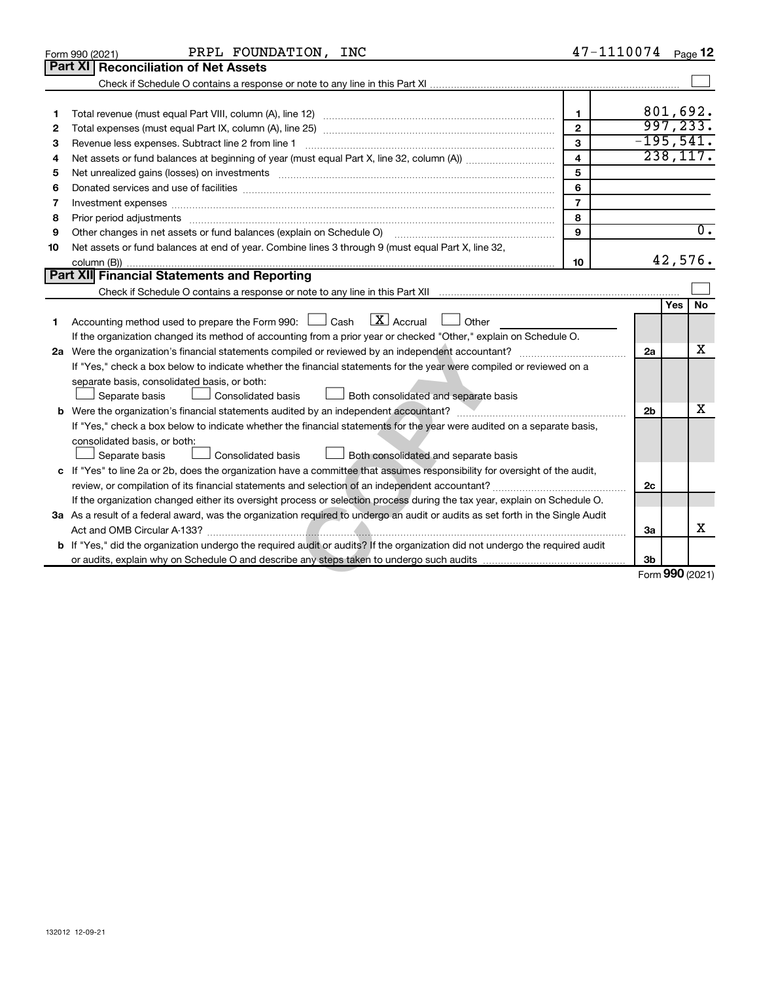|    | PRPL FOUNDATION, INC<br>Form 990 (2021)                                                                                         | 47-1110074     |                |          | Page 12          |  |  |
|----|---------------------------------------------------------------------------------------------------------------------------------|----------------|----------------|----------|------------------|--|--|
|    | <b>Part XI</b><br><b>Reconciliation of Net Assets</b>                                                                           |                |                |          |                  |  |  |
|    |                                                                                                                                 |                |                |          |                  |  |  |
|    |                                                                                                                                 |                |                |          |                  |  |  |
| 1  |                                                                                                                                 | $\mathbf{1}$   |                |          | 801,692.         |  |  |
| 2  |                                                                                                                                 | $\mathbf{2}$   |                |          | 997, 233.        |  |  |
| З  | Revenue less expenses. Subtract line 2 from line 1                                                                              | $\mathbf{3}$   | $-195,541.$    |          | 238, 117.        |  |  |
| 4  | $\overline{4}$                                                                                                                  |                |                |          |                  |  |  |
| 5  | Net unrealized gains (losses) on investments [111] www.martime.community.community.community.community.communi                  | 5              |                |          |                  |  |  |
| 6  |                                                                                                                                 | 6              |                |          |                  |  |  |
| 7  |                                                                                                                                 | $\overline{7}$ |                |          |                  |  |  |
| 8  |                                                                                                                                 | 8              |                |          |                  |  |  |
| 9  | Other changes in net assets or fund balances (explain on Schedule O)                                                            | 9              |                |          | $\overline{0}$ . |  |  |
| 10 | Net assets or fund balances at end of year. Combine lines 3 through 9 (must equal Part X, line 32,                              |                |                |          |                  |  |  |
|    |                                                                                                                                 | 10             |                |          | 42,576.          |  |  |
|    | Part XII Financial Statements and Reporting                                                                                     |                |                |          |                  |  |  |
|    |                                                                                                                                 |                |                |          |                  |  |  |
|    |                                                                                                                                 |                |                | Yes   No |                  |  |  |
| 1  | $\lfloor \mathbf{X} \rfloor$ Accrual<br>Accounting method used to prepare the Form 990: $\Box$ Cash<br>Other                    |                |                |          |                  |  |  |
|    | If the organization changed its method of accounting from a prior year or checked "Other," explain on Schedule O.               |                |                |          |                  |  |  |
|    |                                                                                                                                 |                | 2a             |          | х                |  |  |
|    | If "Yes," check a box below to indicate whether the financial statements for the year were compiled or reviewed on a            |                |                |          |                  |  |  |
|    | separate basis, consolidated basis, or both:                                                                                    |                |                |          |                  |  |  |
|    | Separate basis<br><b>Consolidated basis</b><br>$\Box$ Both consolidated and separate basis                                      |                |                |          |                  |  |  |
|    |                                                                                                                                 |                | 2 <sub>b</sub> |          | x                |  |  |
|    | If "Yes," check a box below to indicate whether the financial statements for the year were audited on a separate basis,         |                |                |          |                  |  |  |
|    | consolidated basis, or both:                                                                                                    |                |                |          |                  |  |  |
|    | Separate basis<br>Consolidated basis<br>Both consolidated and separate basis                                                    |                |                |          |                  |  |  |
|    | c If "Yes" to line 2a or 2b, does the organization have a committee that assumes responsibility for oversight of the audit,     |                |                |          |                  |  |  |
|    |                                                                                                                                 |                | 2c             |          |                  |  |  |
|    | If the organization changed either its oversight process or selection process during the tax year, explain on Schedule O.       |                |                |          |                  |  |  |
|    | 3a As a result of a federal award, was the organization required to undergo an audit or audits as set forth in the Single Audit |                |                |          |                  |  |  |
|    |                                                                                                                                 |                | За             |          | х                |  |  |
|    | b If "Yes," did the organization undergo the required audit or audits? If the organization did not undergo the required audit   |                |                |          |                  |  |  |
|    |                                                                                                                                 |                | 3b             |          |                  |  |  |
|    |                                                                                                                                 |                |                |          | Form 990 (2021)  |  |  |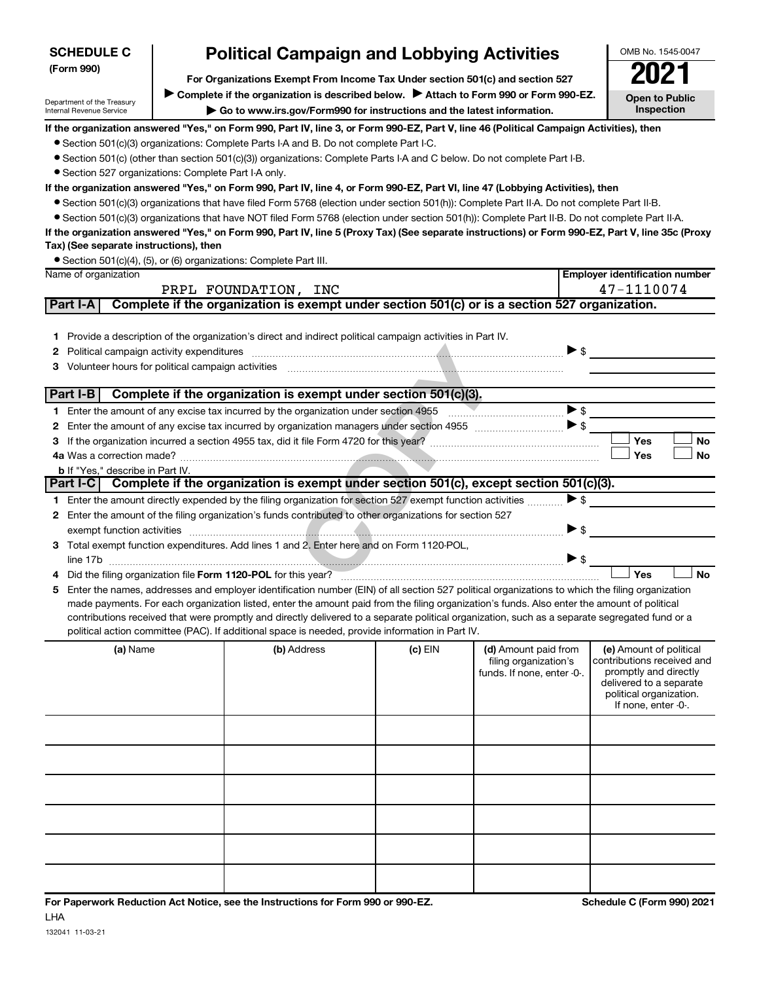| <b>SCHEDULE C</b><br>(Form 990)                        |                                                                                                                                                                                                                                                | <b>Political Campaign and Lobbying Activities</b>                                                                                                                                                                                                                                                                                                                                                                                                                                                                                                                                                                                              |           |                                                                             |                          |            | OMB No. 1545-0047                                                                                                                                           |  |  |
|--------------------------------------------------------|------------------------------------------------------------------------------------------------------------------------------------------------------------------------------------------------------------------------------------------------|------------------------------------------------------------------------------------------------------------------------------------------------------------------------------------------------------------------------------------------------------------------------------------------------------------------------------------------------------------------------------------------------------------------------------------------------------------------------------------------------------------------------------------------------------------------------------------------------------------------------------------------------|-----------|-----------------------------------------------------------------------------|--------------------------|------------|-------------------------------------------------------------------------------------------------------------------------------------------------------------|--|--|
| Department of the Treasury<br>Internal Revenue Service | For Organizations Exempt From Income Tax Under section 501(c) and section 527<br>Complete if the organization is described below. Attach to Form 990 or Form 990-EZ.<br>Go to www.irs.gov/Form990 for instructions and the latest information. |                                                                                                                                                                                                                                                                                                                                                                                                                                                                                                                                                                                                                                                |           |                                                                             |                          |            |                                                                                                                                                             |  |  |
| • Section 527 organizations: Complete Part I-A only.   |                                                                                                                                                                                                                                                | If the organization answered "Yes," on Form 990, Part IV, line 3, or Form 990-EZ, Part V, line 46 (Political Campaign Activities), then<br>• Section 501(c)(3) organizations: Complete Parts I-A and B. Do not complete Part I-C.<br>• Section 501(c) (other than section 501(c)(3)) organizations: Complete Parts I-A and C below. Do not complete Part I-B.<br>If the organization answered "Yes," on Form 990, Part IV, line 4, or Form 990-EZ, Part VI, line 47 (Lobbying Activities), then<br>• Section 501(c)(3) organizations that have filed Form 5768 (election under section 501(h)): Complete Part II-A. Do not complete Part II-B. |           |                                                                             |                          |            |                                                                                                                                                             |  |  |
| Tax) (See separate instructions), then                 |                                                                                                                                                                                                                                                | • Section 501(c)(3) organizations that have NOT filed Form 5768 (election under section 501(h)): Complete Part II-B. Do not complete Part II-A.<br>If the organization answered "Yes," on Form 990, Part IV, line 5 (Proxy Tax) (See separate instructions) or Form 990-EZ, Part V, line 35c (Proxy                                                                                                                                                                                                                                                                                                                                            |           |                                                                             |                          |            |                                                                                                                                                             |  |  |
| Name of organization                                   |                                                                                                                                                                                                                                                | • Section 501(c)(4), (5), or (6) organizations: Complete Part III.<br>PRPL FOUNDATION, INC                                                                                                                                                                                                                                                                                                                                                                                                                                                                                                                                                     |           |                                                                             |                          | 47-1110074 | <b>Employer identification number</b>                                                                                                                       |  |  |
| Part I-A                                               |                                                                                                                                                                                                                                                | Complete if the organization is exempt under section 501(c) or is a section 527 organization.                                                                                                                                                                                                                                                                                                                                                                                                                                                                                                                                                  |           |                                                                             |                          |            |                                                                                                                                                             |  |  |
| 2<br>3.                                                |                                                                                                                                                                                                                                                | 1 Provide a description of the organization's direct and indirect political campaign activities in Part IV.<br>Political campaign activity expenditures [11] matter contract to the contract of the contract of the contract of the contract of the contract of the contract of the contract of the contract of the contract of the contract<br>Volunteer hours for political campaign activities [11] with a substitution of the state of political campaign activities [11] with a substitution of the state of the state of the state of the state of the state of the stat                                                                 |           |                                                                             | $\blacktriangleright$ \$ |            |                                                                                                                                                             |  |  |
| Part I-B                                               |                                                                                                                                                                                                                                                | Complete if the organization is exempt under section 501(c)(3).                                                                                                                                                                                                                                                                                                                                                                                                                                                                                                                                                                                |           |                                                                             |                          |            |                                                                                                                                                             |  |  |
|                                                        |                                                                                                                                                                                                                                                | 1 Enter the amount of any excise tax incurred by the organization under section 4955                                                                                                                                                                                                                                                                                                                                                                                                                                                                                                                                                           |           |                                                                             | $\triangleright$ \$      |            |                                                                                                                                                             |  |  |
| 2                                                      |                                                                                                                                                                                                                                                |                                                                                                                                                                                                                                                                                                                                                                                                                                                                                                                                                                                                                                                |           |                                                                             |                          |            |                                                                                                                                                             |  |  |
| З                                                      |                                                                                                                                                                                                                                                |                                                                                                                                                                                                                                                                                                                                                                                                                                                                                                                                                                                                                                                |           |                                                                             |                          | Yes        | No                                                                                                                                                          |  |  |
|                                                        |                                                                                                                                                                                                                                                |                                                                                                                                                                                                                                                                                                                                                                                                                                                                                                                                                                                                                                                |           |                                                                             |                          | Yes        | No                                                                                                                                                          |  |  |
| <b>b</b> If "Yes," describe in Part IV.<br>Part I-C    |                                                                                                                                                                                                                                                | Complete if the organization is exempt under section 501(c), except section 501(c)(3).                                                                                                                                                                                                                                                                                                                                                                                                                                                                                                                                                         |           |                                                                             |                          |            |                                                                                                                                                             |  |  |
|                                                        |                                                                                                                                                                                                                                                | 1 Enter the amount directly expended by the filing organization for section 527 exempt function activities                                                                                                                                                                                                                                                                                                                                                                                                                                                                                                                                     |           |                                                                             | ▶ \$                     |            |                                                                                                                                                             |  |  |
|                                                        |                                                                                                                                                                                                                                                | 2 Enter the amount of the filing organization's funds contributed to other organizations for section 527                                                                                                                                                                                                                                                                                                                                                                                                                                                                                                                                       |           |                                                                             |                          |            |                                                                                                                                                             |  |  |
|                                                        |                                                                                                                                                                                                                                                | exempt function activities measurements and contain a series of the series of the series of the series of the series of the series of the series of the series of the series of the series of the series of the series of the                                                                                                                                                                                                                                                                                                                                                                                                                  |           |                                                                             | $\blacktriangleright$ \$ |            |                                                                                                                                                             |  |  |
|                                                        |                                                                                                                                                                                                                                                | 3 Total exempt function expenditures. Add lines 1 and 2. Enter here and on Form 1120-POL,                                                                                                                                                                                                                                                                                                                                                                                                                                                                                                                                                      |           |                                                                             |                          |            |                                                                                                                                                             |  |  |
|                                                        |                                                                                                                                                                                                                                                |                                                                                                                                                                                                                                                                                                                                                                                                                                                                                                                                                                                                                                                |           |                                                                             | $\blacktriangleright$ \$ |            |                                                                                                                                                             |  |  |
|                                                        |                                                                                                                                                                                                                                                |                                                                                                                                                                                                                                                                                                                                                                                                                                                                                                                                                                                                                                                |           |                                                                             |                          | Yes        | <b>No</b>                                                                                                                                                   |  |  |
| 5                                                      |                                                                                                                                                                                                                                                | Enter the names, addresses and employer identification number (EIN) of all section 527 political organizations to which the filing organization<br>made payments. For each organization listed, enter the amount paid from the filing organization's funds. Also enter the amount of political<br>contributions received that were promptly and directly delivered to a separate political organization, such as a separate segregated fund or a<br>political action committee (PAC). If additional space is needed, provide information in Part IV.                                                                                           |           |                                                                             |                          |            |                                                                                                                                                             |  |  |
| (a) Name                                               |                                                                                                                                                                                                                                                | (b) Address                                                                                                                                                                                                                                                                                                                                                                                                                                                                                                                                                                                                                                    | $(c)$ EIN | (d) Amount paid from<br>filing organization's<br>funds. If none, enter -0-. |                          |            | (e) Amount of political<br>contributions received and<br>promptly and directly<br>delivered to a separate<br>political organization.<br>If none, enter -0-. |  |  |
|                                                        |                                                                                                                                                                                                                                                |                                                                                                                                                                                                                                                                                                                                                                                                                                                                                                                                                                                                                                                |           |                                                                             |                          |            |                                                                                                                                                             |  |  |
|                                                        |                                                                                                                                                                                                                                                |                                                                                                                                                                                                                                                                                                                                                                                                                                                                                                                                                                                                                                                |           |                                                                             |                          |            |                                                                                                                                                             |  |  |
|                                                        |                                                                                                                                                                                                                                                |                                                                                                                                                                                                                                                                                                                                                                                                                                                                                                                                                                                                                                                |           |                                                                             |                          |            |                                                                                                                                                             |  |  |
|                                                        |                                                                                                                                                                                                                                                |                                                                                                                                                                                                                                                                                                                                                                                                                                                                                                                                                                                                                                                |           |                                                                             |                          |            |                                                                                                                                                             |  |  |
|                                                        |                                                                                                                                                                                                                                                |                                                                                                                                                                                                                                                                                                                                                                                                                                                                                                                                                                                                                                                |           |                                                                             |                          |            |                                                                                                                                                             |  |  |
|                                                        |                                                                                                                                                                                                                                                |                                                                                                                                                                                                                                                                                                                                                                                                                                                                                                                                                                                                                                                |           |                                                                             |                          |            |                                                                                                                                                             |  |  |
|                                                        |                                                                                                                                                                                                                                                |                                                                                                                                                                                                                                                                                                                                                                                                                                                                                                                                                                                                                                                |           |                                                                             |                          |            |                                                                                                                                                             |  |  |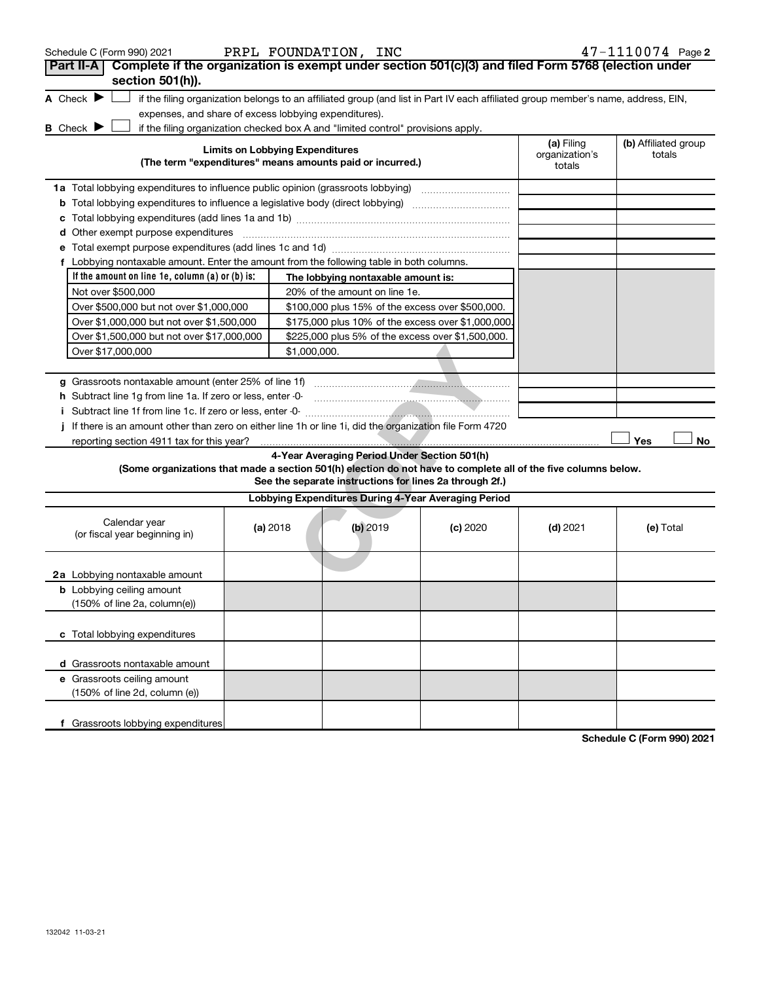| Schedule C (Form 990) 2021                                                                                      |                                                                                                 | PRPL FOUNDATION, INC                                                                                                              |          |                                        | 47-1110074 Page 2              |  |  |
|-----------------------------------------------------------------------------------------------------------------|-------------------------------------------------------------------------------------------------|-----------------------------------------------------------------------------------------------------------------------------------|----------|----------------------------------------|--------------------------------|--|--|
| Complete if the organization is exempt under section 501(c)(3) and filed Form 5768 (election under<br>Part II-A |                                                                                                 |                                                                                                                                   |          |                                        |                                |  |  |
| section 501(h)).                                                                                                |                                                                                                 |                                                                                                                                   |          |                                        |                                |  |  |
| A Check $\blacktriangleright$                                                                                   |                                                                                                 | if the filing organization belongs to an affiliated group (and list in Part IV each affiliated group member's name, address, EIN, |          |                                        |                                |  |  |
| expenses, and share of excess lobbying expenditures).<br><b>B</b> Check <b>P</b>                                |                                                                                                 | if the filing organization checked box A and "limited control" provisions apply.                                                  |          |                                        |                                |  |  |
|                                                                                                                 | <b>Limits on Lobbying Expenditures</b>                                                          | (The term "expenditures" means amounts paid or incurred.)                                                                         |          | (a) Filing<br>organization's<br>totals | (b) Affiliated group<br>totals |  |  |
|                                                                                                                 |                                                                                                 |                                                                                                                                   |          |                                        |                                |  |  |
| 1a Total lobbying expenditures to influence public opinion (grassroots lobbying)                                |                                                                                                 |                                                                                                                                   |          |                                        |                                |  |  |
| <b>b</b> Total lobbying expenditures to influence a legislative body (direct lobbying) <i>manumumumum</i>       |                                                                                                 |                                                                                                                                   |          |                                        |                                |  |  |
| d Other exempt purpose expenditures                                                                             |                                                                                                 |                                                                                                                                   |          |                                        |                                |  |  |
|                                                                                                                 |                                                                                                 |                                                                                                                                   |          |                                        |                                |  |  |
|                                                                                                                 | f Lobbying nontaxable amount. Enter the amount from the following table in both columns.        |                                                                                                                                   |          |                                        |                                |  |  |
| If the amount on line 1e, column (a) or (b) is:                                                                 | The lobbying nontaxable amount is:                                                              |                                                                                                                                   |          |                                        |                                |  |  |
| Not over \$500,000                                                                                              |                                                                                                 |                                                                                                                                   |          |                                        |                                |  |  |
| Over \$500,000 but not over \$1,000,000                                                                         |                                                                                                 | 20% of the amount on line 1e.<br>\$100,000 plus 15% of the excess over \$500,000.                                                 |          |                                        |                                |  |  |
|                                                                                                                 | \$175,000 plus 10% of the excess over \$1,000,000.<br>Over \$1,000,000 but not over \$1,500,000 |                                                                                                                                   |          |                                        |                                |  |  |
| Over \$1,500,000 but not over \$17,000,000                                                                      |                                                                                                 | \$225,000 plus 5% of the excess over \$1,500,000.                                                                                 |          |                                        |                                |  |  |
| Over \$17,000,000<br>\$1,000,000.                                                                               |                                                                                                 |                                                                                                                                   |          |                                        |                                |  |  |
|                                                                                                                 |                                                                                                 |                                                                                                                                   |          |                                        |                                |  |  |
| g Grassroots nontaxable amount (enter 25% of line 1f)                                                           |                                                                                                 |                                                                                                                                   |          |                                        |                                |  |  |
| h Subtract line 1g from line 1a. If zero or less, enter -0-                                                     |                                                                                                 |                                                                                                                                   |          |                                        |                                |  |  |
| Subtract line 1f from line 1c. If zero or less, enter -0-                                                       |                                                                                                 |                                                                                                                                   |          |                                        |                                |  |  |
| If there is an amount other than zero on either line 1h or line 1i, did the organization file Form 4720         |                                                                                                 |                                                                                                                                   |          |                                        |                                |  |  |
| reporting section 4911 tax for this year?                                                                       |                                                                                                 |                                                                                                                                   |          |                                        | No<br>Yes                      |  |  |
| (Some organizations that made a section 501(h) election do not have to complete all of the five columns below.  |                                                                                                 | 4-Year Averaging Period Under Section 501(h)<br>See the separate instructions for lines 2a through 2f.)                           |          |                                        |                                |  |  |
|                                                                                                                 |                                                                                                 | Lobbying Expenditures During 4-Year Averaging Period                                                                              |          |                                        |                                |  |  |
|                                                                                                                 |                                                                                                 |                                                                                                                                   |          |                                        |                                |  |  |
| Calendar year<br>(or fiscal year beginning in)                                                                  | (a) 2018                                                                                        | $(b)$ 2019                                                                                                                        | (c) 2020 | $(d)$ 2021                             | (e) Total                      |  |  |
| 2a Lobbying nontaxable amount                                                                                   |                                                                                                 |                                                                                                                                   |          |                                        |                                |  |  |
| <b>b</b> Lobbying ceiling amount                                                                                |                                                                                                 |                                                                                                                                   |          |                                        |                                |  |  |
| (150% of line 2a, column(e))                                                                                    |                                                                                                 |                                                                                                                                   |          |                                        |                                |  |  |
| c Total lobbying expenditures                                                                                   |                                                                                                 |                                                                                                                                   |          |                                        |                                |  |  |
| d Grassroots nontaxable amount                                                                                  |                                                                                                 |                                                                                                                                   |          |                                        |                                |  |  |
| e Grassroots ceiling amount                                                                                     |                                                                                                 |                                                                                                                                   |          |                                        |                                |  |  |
| (150% of line 2d, column (e))                                                                                   |                                                                                                 |                                                                                                                                   |          |                                        |                                |  |  |
| Grassroots lobbying expenditures                                                                                |                                                                                                 |                                                                                                                                   |          |                                        | Schodule C (Form 000) 2021     |  |  |

**Schedule C (Form 990) 2021**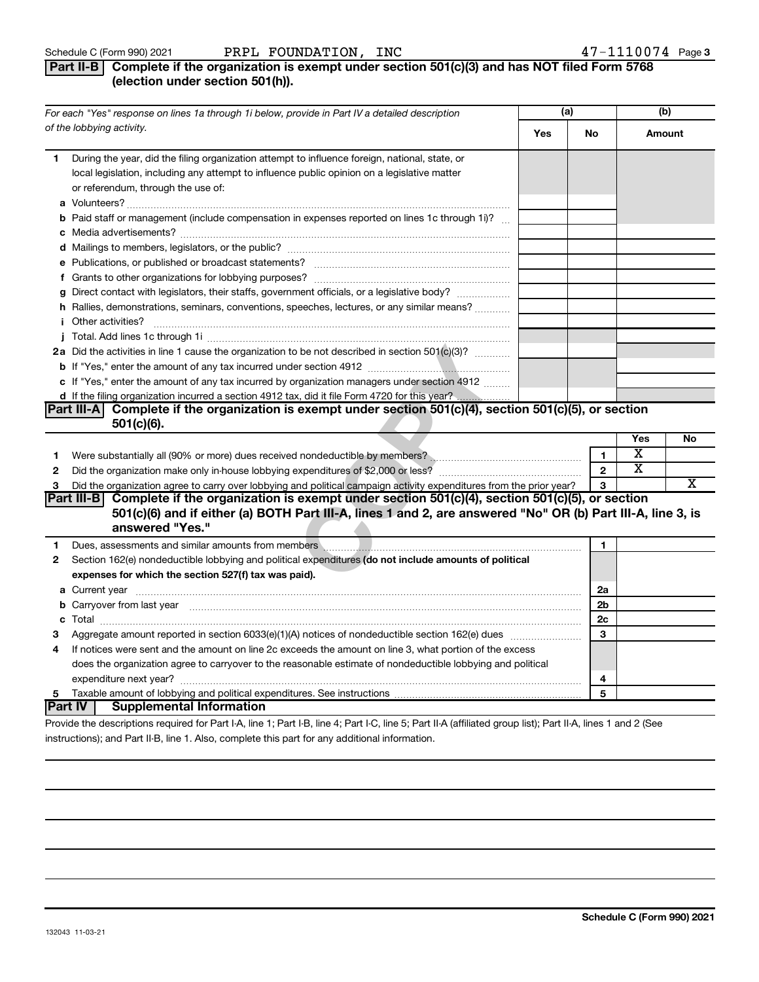## **Part II-B Complete if the organization is exempt under section 501(c)(3) and has NOT filed Form 5768 (election under section 501(h)).**

| For each "Yes" response on lines 1a through 1i below, provide in Part IV a detailed description                                                                                                                                            |     | (a)            |                       | (b)    |
|--------------------------------------------------------------------------------------------------------------------------------------------------------------------------------------------------------------------------------------------|-----|----------------|-----------------------|--------|
| of the lobbying activity.                                                                                                                                                                                                                  | Yes | No             |                       | Amount |
| During the year, did the filing organization attempt to influence foreign, national, state, or<br>1.<br>local legislation, including any attempt to influence public opinion on a legislative matter<br>or referendum, through the use of: |     |                |                       |        |
| <b>b</b> Paid staff or management (include compensation in expenses reported on lines 1c through 1i)?                                                                                                                                      |     |                |                       |        |
|                                                                                                                                                                                                                                            |     |                |                       |        |
|                                                                                                                                                                                                                                            |     |                |                       |        |
|                                                                                                                                                                                                                                            |     |                |                       |        |
|                                                                                                                                                                                                                                            |     |                |                       |        |
| g Direct contact with legislators, their staffs, government officials, or a legislative body?                                                                                                                                              |     |                |                       |        |
| h Rallies, demonstrations, seminars, conventions, speeches, lectures, or any similar means?                                                                                                                                                |     |                |                       |        |
|                                                                                                                                                                                                                                            |     |                |                       |        |
|                                                                                                                                                                                                                                            |     |                |                       |        |
| 2a Did the activities in line 1 cause the organization to be not described in section 501(c)(3)?                                                                                                                                           |     |                |                       |        |
|                                                                                                                                                                                                                                            |     |                |                       |        |
| c If "Yes," enter the amount of any tax incurred by organization managers under section 4912                                                                                                                                               |     |                |                       |        |
|                                                                                                                                                                                                                                            |     |                |                       |        |
| Complete if the organization is exempt under section 501(c)(4), section 501(c)(5), or section<br>Part III-AI                                                                                                                               |     |                |                       |        |
| 501(c)(6).                                                                                                                                                                                                                                 |     |                |                       |        |
|                                                                                                                                                                                                                                            |     |                | Yes                   | No     |
| 1                                                                                                                                                                                                                                          |     | 1              | x                     |        |
| $\mathbf{2}$                                                                                                                                                                                                                               |     | $\mathbf{2}$   | $\overline{\text{x}}$ |        |
| Did the organization agree to carry over lobbying and political campaign activity expenditures from the prior year?<br>3                                                                                                                   |     | 3              |                       | х      |
| Part III-B Complete if the organization is exempt under section 501(c)(4), section 501(c)(5), or section<br>501(c)(6) and if either (a) BOTH Part III-A, lines 1 and 2, are answered "No" OR (b) Part III-A, line 3, is<br>answered "Yes." |     |                |                       |        |
| 1                                                                                                                                                                                                                                          |     | 1              |                       |        |
| Section 162(e) nondeductible lobbying and political expenditures (do not include amounts of political<br>2                                                                                                                                 |     |                |                       |        |
| expenses for which the section 527(f) tax was paid).                                                                                                                                                                                       |     |                |                       |        |
|                                                                                                                                                                                                                                            |     | 2a             |                       |        |
| b Carryover from last year manufactured and content to content the content of the content of the content of the content of the content of the content of the content of the content of the content of the content of the conte             |     | 2 <sub>b</sub> |                       |        |
| с                                                                                                                                                                                                                                          |     | 2c             |                       |        |
| З                                                                                                                                                                                                                                          |     | 3              |                       |        |
| If notices were sent and the amount on line 2c exceeds the amount on line 3, what portion of the excess<br>4                                                                                                                               |     |                |                       |        |
| does the organization agree to carryover to the reasonable estimate of nondeductible lobbying and political                                                                                                                                |     |                |                       |        |
|                                                                                                                                                                                                                                            |     | 4              |                       |        |
| 5                                                                                                                                                                                                                                          |     | 5              |                       |        |
| <b>Part IV</b><br><b>Supplemental Information</b>                                                                                                                                                                                          |     |                |                       |        |

Provide the descriptions required for Part I-A, line 1; Part I-B, line 4; Part I-C, line 5; Part II-A (affiliated group list); Part II-A, lines 1 and 2 (See instructions); and Part II-B, line 1. Also, complete this part for any additional information.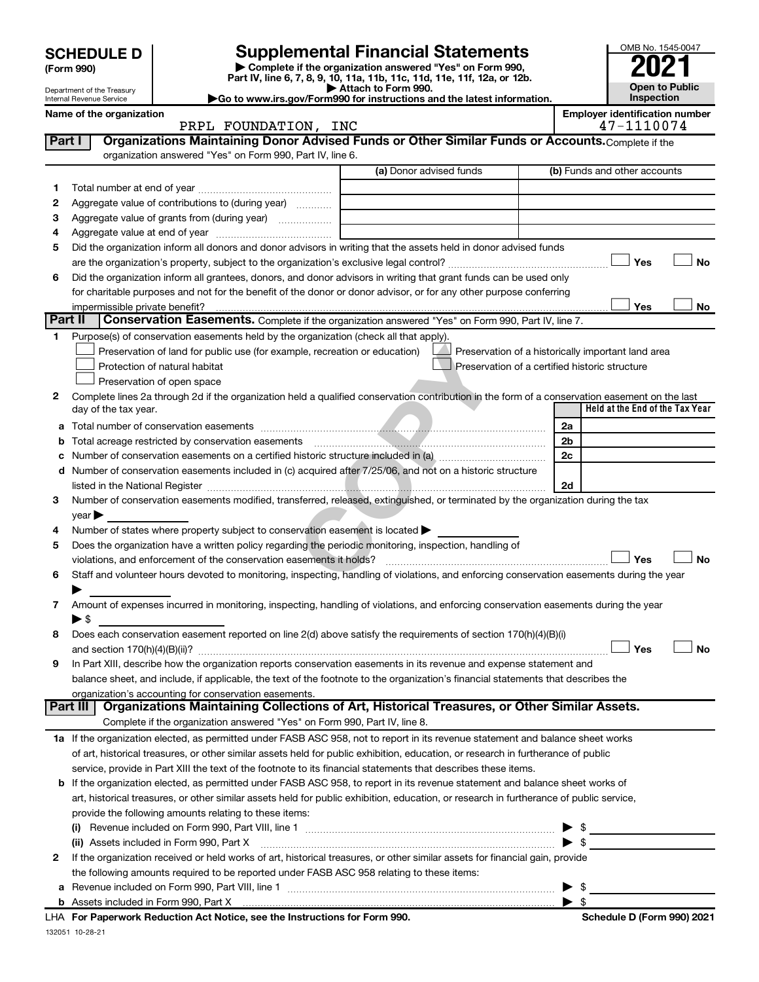|                                                                                                                                |                                                                                                                                         |                                                                                                                                                                                                                               |                                          |                                                    |                          | OMB No. 1545-0047                                   |           |
|--------------------------------------------------------------------------------------------------------------------------------|-----------------------------------------------------------------------------------------------------------------------------------------|-------------------------------------------------------------------------------------------------------------------------------------------------------------------------------------------------------------------------------|------------------------------------------|----------------------------------------------------|--------------------------|-----------------------------------------------------|-----------|
| <b>SCHEDULE D</b>                                                                                                              |                                                                                                                                         |                                                                                                                                                                                                                               | <b>Supplemental Financial Statements</b> |                                                    |                          |                                                     |           |
| (Form 990)                                                                                                                     |                                                                                                                                         | Complete if the organization answered "Yes" on Form 990,                                                                                                                                                                      |                                          |                                                    |                          |                                                     |           |
| Department of the Treasury                                                                                                     |                                                                                                                                         | Part IV, line 6, 7, 8, 9, 10, 11a, 11b, 11c, 11d, 11e, 11f, 12a, or 12b.<br>Attach to Form 990.                                                                                                                               |                                          |                                                    |                          | <b>Open to Public</b>                               |           |
| Go to www.irs.gov/Form990 for instructions and the latest information.<br>Internal Revenue Service<br>Name of the organization |                                                                                                                                         |                                                                                                                                                                                                                               |                                          |                                                    |                          | Inspection<br><b>Employer identification number</b> |           |
|                                                                                                                                |                                                                                                                                         | PRPL FOUNDATION, INC                                                                                                                                                                                                          |                                          |                                                    |                          | 47-1110074                                          |           |
| Part I                                                                                                                         |                                                                                                                                         | Organizations Maintaining Donor Advised Funds or Other Similar Funds or Accounts. Complete if the                                                                                                                             |                                          |                                                    |                          |                                                     |           |
|                                                                                                                                |                                                                                                                                         | organization answered "Yes" on Form 990, Part IV, line 6.                                                                                                                                                                     |                                          |                                                    |                          |                                                     |           |
|                                                                                                                                |                                                                                                                                         |                                                                                                                                                                                                                               | (a) Donor advised funds                  |                                                    |                          | (b) Funds and other accounts                        |           |
| 1                                                                                                                              |                                                                                                                                         |                                                                                                                                                                                                                               |                                          |                                                    |                          |                                                     |           |
| 2<br>3                                                                                                                         |                                                                                                                                         | Aggregate value of contributions to (during year)<br>Aggregate value of grants from (during year)                                                                                                                             |                                          |                                                    |                          |                                                     |           |
| 4                                                                                                                              |                                                                                                                                         |                                                                                                                                                                                                                               |                                          |                                                    |                          |                                                     |           |
| 5                                                                                                                              |                                                                                                                                         | Did the organization inform all donors and donor advisors in writing that the assets held in donor advised funds                                                                                                              |                                          |                                                    |                          |                                                     |           |
|                                                                                                                                |                                                                                                                                         |                                                                                                                                                                                                                               |                                          |                                                    |                          | Yes                                                 | <b>No</b> |
| 6                                                                                                                              |                                                                                                                                         | Did the organization inform all grantees, donors, and donor advisors in writing that grant funds can be used only                                                                                                             |                                          |                                                    |                          |                                                     |           |
|                                                                                                                                |                                                                                                                                         | for charitable purposes and not for the benefit of the donor or donor advisor, or for any other purpose conferring                                                                                                            |                                          |                                                    |                          |                                                     |           |
|                                                                                                                                | impermissible private benefit?                                                                                                          |                                                                                                                                                                                                                               |                                          |                                                    |                          | Yes                                                 | No        |
| Part II                                                                                                                        |                                                                                                                                         | Conservation Easements. Complete if the organization answered "Yes" on Form 990, Part IV, line 7.                                                                                                                             |                                          |                                                    |                          |                                                     |           |
| 1                                                                                                                              |                                                                                                                                         | Purpose(s) of conservation easements held by the organization (check all that apply).                                                                                                                                         |                                          |                                                    |                          |                                                     |           |
|                                                                                                                                |                                                                                                                                         | Preservation of land for public use (for example, recreation or education)                                                                                                                                                    |                                          | Preservation of a historically important land area |                          |                                                     |           |
|                                                                                                                                |                                                                                                                                         | Protection of natural habitat                                                                                                                                                                                                 |                                          | Preservation of a certified historic structure     |                          |                                                     |           |
|                                                                                                                                |                                                                                                                                         | Preservation of open space                                                                                                                                                                                                    |                                          |                                                    |                          |                                                     |           |
| 2                                                                                                                              | day of the tax year.                                                                                                                    | Complete lines 2a through 2d if the organization held a qualified conservation contribution in the form of a conservation easement on the last                                                                                |                                          |                                                    |                          | Held at the End of the Tax Year                     |           |
|                                                                                                                                |                                                                                                                                         |                                                                                                                                                                                                                               |                                          |                                                    | 2a                       |                                                     |           |
| b                                                                                                                              |                                                                                                                                         | Total acreage restricted by conservation easements                                                                                                                                                                            |                                          |                                                    | 2 <sub>b</sub>           |                                                     |           |
| с                                                                                                                              |                                                                                                                                         | Number of conservation easements on a certified historic structure included in (a) manufacture included in (a)                                                                                                                |                                          |                                                    | 2c                       |                                                     |           |
| d                                                                                                                              |                                                                                                                                         | Number of conservation easements included in (c) acquired after 7/25/06, and not on a historic structure                                                                                                                      |                                          |                                                    |                          |                                                     |           |
|                                                                                                                                |                                                                                                                                         | listed in the National Register [111] March 1999 (120 Meters 1999 (120 Meters 1999 Meters 1999 Meters 1999 Meters 1999 Meters 1999 Meters 1999 Meters 1999 Meters 1999 Meters 1999 Meters 1999 Meters 1999 Meters 1999 Meters |                                          |                                                    | 2d                       |                                                     |           |
| З                                                                                                                              |                                                                                                                                         | Number of conservation easements modified, transferred, released, extinguished, or terminated by the organization during the tax                                                                                              |                                          |                                                    |                          |                                                     |           |
|                                                                                                                                | $year \blacktriangleright$                                                                                                              |                                                                                                                                                                                                                               |                                          |                                                    |                          |                                                     |           |
| 4                                                                                                                              |                                                                                                                                         | Number of states where property subject to conservation easement is located >                                                                                                                                                 |                                          |                                                    |                          |                                                     |           |
| 5                                                                                                                              |                                                                                                                                         | Does the organization have a written policy regarding the periodic monitoring, inspection, handling of                                                                                                                        |                                          |                                                    |                          |                                                     |           |
|                                                                                                                                |                                                                                                                                         | violations, and enforcement of the conservation easements it holds?                                                                                                                                                           |                                          |                                                    |                          | Yes                                                 | <b>No</b> |
| 6                                                                                                                              |                                                                                                                                         | Staff and volunteer hours devoted to monitoring, inspecting, handling of violations, and enforcing conservation easements during the year                                                                                     |                                          |                                                    |                          |                                                     |           |
|                                                                                                                                |                                                                                                                                         |                                                                                                                                                                                                                               |                                          |                                                    |                          |                                                     |           |
| 7                                                                                                                              | $\blacktriangleright$ \$                                                                                                                | Amount of expenses incurred in monitoring, inspecting, handling of violations, and enforcing conservation easements during the year                                                                                           |                                          |                                                    |                          |                                                     |           |
| 8                                                                                                                              |                                                                                                                                         | Does each conservation easement reported on line $2(d)$ above satisfy the requirements of section 170(h)(4)(B)(i)                                                                                                             |                                          |                                                    |                          |                                                     |           |
|                                                                                                                                |                                                                                                                                         |                                                                                                                                                                                                                               |                                          |                                                    |                          | Yes                                                 | No        |
| 9                                                                                                                              |                                                                                                                                         | In Part XIII, describe how the organization reports conservation easements in its revenue and expense statement and                                                                                                           |                                          |                                                    |                          |                                                     |           |
|                                                                                                                                |                                                                                                                                         | balance sheet, and include, if applicable, the text of the footnote to the organization's financial statements that describes the                                                                                             |                                          |                                                    |                          |                                                     |           |
|                                                                                                                                |                                                                                                                                         | organization's accounting for conservation easements.                                                                                                                                                                         |                                          |                                                    |                          |                                                     |           |
|                                                                                                                                | Part III                                                                                                                                | Organizations Maintaining Collections of Art, Historical Treasures, or Other Similar Assets.                                                                                                                                  |                                          |                                                    |                          |                                                     |           |
|                                                                                                                                |                                                                                                                                         | Complete if the organization answered "Yes" on Form 990, Part IV, line 8.                                                                                                                                                     |                                          |                                                    |                          |                                                     |           |
|                                                                                                                                |                                                                                                                                         | 1a If the organization elected, as permitted under FASB ASC 958, not to report in its revenue statement and balance sheet works                                                                                               |                                          |                                                    |                          |                                                     |           |
|                                                                                                                                |                                                                                                                                         | of art, historical treasures, or other similar assets held for public exhibition, education, or research in furtherance of public                                                                                             |                                          |                                                    |                          |                                                     |           |
|                                                                                                                                |                                                                                                                                         | service, provide in Part XIII the text of the footnote to its financial statements that describes these items.                                                                                                                |                                          |                                                    |                          |                                                     |           |
|                                                                                                                                | <b>b</b> If the organization elected, as permitted under FASB ASC 958, to report in its revenue statement and balance sheet works of    |                                                                                                                                                                                                                               |                                          |                                                    |                          |                                                     |           |
|                                                                                                                                | art, historical treasures, or other similar assets held for public exhibition, education, or research in furtherance of public service, |                                                                                                                                                                                                                               |                                          |                                                    |                          |                                                     |           |
|                                                                                                                                | provide the following amounts relating to these items:<br>- \$                                                                          |                                                                                                                                                                                                                               |                                          |                                                    |                          |                                                     |           |
|                                                                                                                                | $\blacktriangleright$ s                                                                                                                 |                                                                                                                                                                                                                               |                                          |                                                    |                          |                                                     |           |
| 2                                                                                                                              |                                                                                                                                         | If the organization received or held works of art, historical treasures, or other similar assets for financial gain, provide                                                                                                  |                                          |                                                    |                          |                                                     |           |
|                                                                                                                                |                                                                                                                                         | the following amounts required to be reported under FASB ASC 958 relating to these items:                                                                                                                                     |                                          |                                                    |                          |                                                     |           |
|                                                                                                                                |                                                                                                                                         |                                                                                                                                                                                                                               |                                          |                                                    | $\blacktriangleright$ \$ |                                                     |           |

| \$

|  | <b>b</b> Assets included in Form 990, Part X |
|--|----------------------------------------------|
|  |                                              |

132051 10-28-21 **For Paperwork Reduction Act Notice, see the Instructions for Form 990. Schedule D (Form 990) 2021** LHA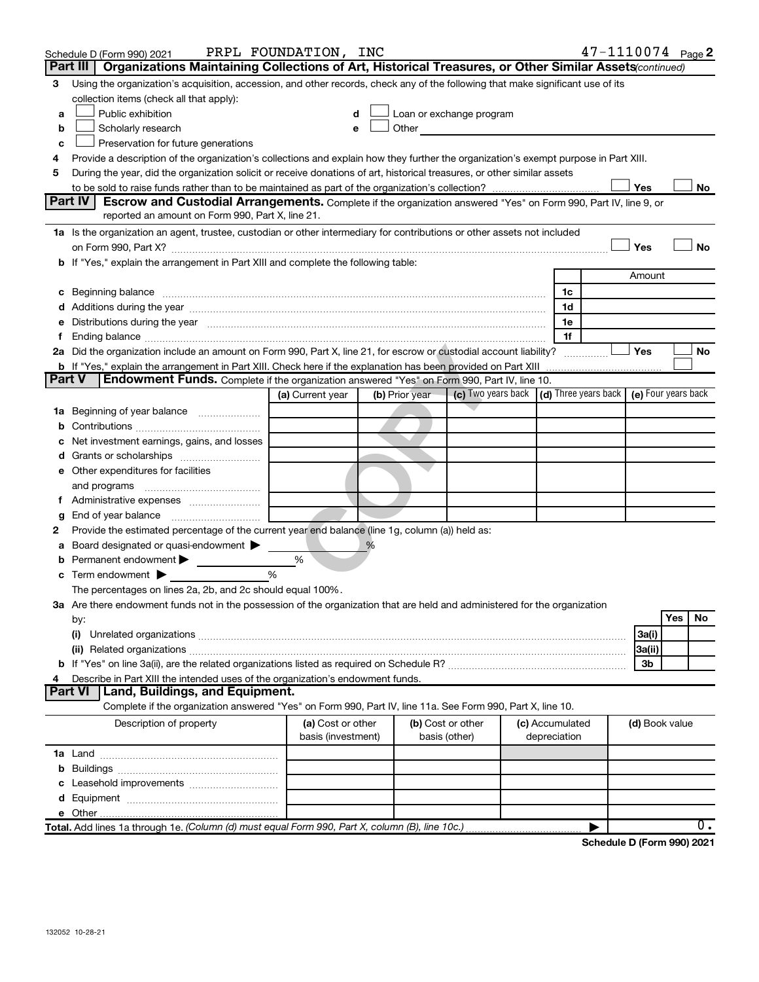|               | Schedule D (Form 990) 2021                                                                                                                                                                                                     | PRPL FOUNDATION, INC |                |                                                                                                                                                                                                                               |                 |   | $47 - 1110074$ Page 2 |           |
|---------------|--------------------------------------------------------------------------------------------------------------------------------------------------------------------------------------------------------------------------------|----------------------|----------------|-------------------------------------------------------------------------------------------------------------------------------------------------------------------------------------------------------------------------------|-----------------|---|-----------------------|-----------|
|               | Organizations Maintaining Collections of Art, Historical Treasures, or Other Similar Assets (continued)<br>Part III                                                                                                            |                      |                |                                                                                                                                                                                                                               |                 |   |                       |           |
| 3             | Using the organization's acquisition, accession, and other records, check any of the following that make significant use of its                                                                                                |                      |                |                                                                                                                                                                                                                               |                 |   |                       |           |
|               | collection items (check all that apply):                                                                                                                                                                                       |                      |                |                                                                                                                                                                                                                               |                 |   |                       |           |
| a             | Public exhibition                                                                                                                                                                                                              | d                    |                | Loan or exchange program                                                                                                                                                                                                      |                 |   |                       |           |
| b             | Scholarly research                                                                                                                                                                                                             | e                    |                | Other and the contract of the contract of the contract of the contract of the contract of the contract of the contract of the contract of the contract of the contract of the contract of the contract of the contract of the |                 |   |                       |           |
| c             | Preservation for future generations                                                                                                                                                                                            |                      |                |                                                                                                                                                                                                                               |                 |   |                       |           |
| 4             | Provide a description of the organization's collections and explain how they further the organization's exempt purpose in Part XIII.                                                                                           |                      |                |                                                                                                                                                                                                                               |                 |   |                       |           |
| 5             | During the year, did the organization solicit or receive donations of art, historical treasures, or other similar assets                                                                                                       |                      |                |                                                                                                                                                                                                                               |                 |   |                       |           |
|               |                                                                                                                                                                                                                                |                      |                |                                                                                                                                                                                                                               |                 |   | Yes                   | No        |
|               | Part IV<br><b>Escrow and Custodial Arrangements.</b> Complete if the organization answered "Yes" on Form 990, Part IV, line 9, or                                                                                              |                      |                |                                                                                                                                                                                                                               |                 |   |                       |           |
|               | reported an amount on Form 990, Part X, line 21.                                                                                                                                                                               |                      |                |                                                                                                                                                                                                                               |                 |   |                       |           |
|               | 1a Is the organization an agent, trustee, custodian or other intermediary for contributions or other assets not included                                                                                                       |                      |                |                                                                                                                                                                                                                               |                 |   |                       |           |
|               |                                                                                                                                                                                                                                |                      |                |                                                                                                                                                                                                                               |                 |   | Yes                   | <b>No</b> |
|               | b If "Yes," explain the arrangement in Part XIII and complete the following table:                                                                                                                                             |                      |                |                                                                                                                                                                                                                               |                 |   | Amount                |           |
|               |                                                                                                                                                                                                                                |                      |                |                                                                                                                                                                                                                               | 1c              |   |                       |           |
|               | c Beginning balance measurements and the contract of the contract of the contract of the contract of the contract of the contract of the contract of the contract of the contract of the contract of the contract of the contr |                      |                |                                                                                                                                                                                                                               | 1d              |   |                       |           |
|               | e Distributions during the year manufactured and continuum control of the control of the control of the state of the control of the control of the control of the control of the control of the control of the control of the  |                      |                |                                                                                                                                                                                                                               | 1e              |   |                       |           |
|               |                                                                                                                                                                                                                                |                      |                |                                                                                                                                                                                                                               | 1f              |   |                       |           |
|               | 2a Did the organization include an amount on Form 990, Part X, line 21, for escrow or custodial account liability?                                                                                                             |                      |                |                                                                                                                                                                                                                               |                 | . | Yes                   | No        |
|               | b If "Yes," explain the arrangement in Part XIII. Check here if the explanation has been provided on Part XIII                                                                                                                 |                      |                |                                                                                                                                                                                                                               |                 |   |                       |           |
| <b>Part V</b> | <b>Endowment Funds.</b> Complete if the organization answered "Yes" on Form 990, Part IV, line 10.                                                                                                                             |                      |                |                                                                                                                                                                                                                               |                 |   |                       |           |
|               |                                                                                                                                                                                                                                | (a) Current year     | (b) Prior year | (c) Two years back (d) Three years back (e) Four years back                                                                                                                                                                   |                 |   |                       |           |
|               | 1a Beginning of year balance                                                                                                                                                                                                   |                      |                |                                                                                                                                                                                                                               |                 |   |                       |           |
|               |                                                                                                                                                                                                                                |                      |                |                                                                                                                                                                                                                               |                 |   |                       |           |
|               | c Net investment earnings, gains, and losses                                                                                                                                                                                   |                      |                |                                                                                                                                                                                                                               |                 |   |                       |           |
|               |                                                                                                                                                                                                                                |                      |                |                                                                                                                                                                                                                               |                 |   |                       |           |
|               | e Other expenditures for facilities                                                                                                                                                                                            |                      |                |                                                                                                                                                                                                                               |                 |   |                       |           |
|               |                                                                                                                                                                                                                                |                      |                |                                                                                                                                                                                                                               |                 |   |                       |           |
|               |                                                                                                                                                                                                                                |                      |                |                                                                                                                                                                                                                               |                 |   |                       |           |
| g             | End of year balance <i>manually contained</i>                                                                                                                                                                                  |                      |                |                                                                                                                                                                                                                               |                 |   |                       |           |
| 2             | Provide the estimated percentage of the current year end balance (line 1g, column (a)) held as:                                                                                                                                |                      |                |                                                                                                                                                                                                                               |                 |   |                       |           |
| а             | Board designated or quasi-endowment                                                                                                                                                                                            |                      | %              |                                                                                                                                                                                                                               |                 |   |                       |           |
|               | <b>b</b> Permanent endowment $\blacktriangleright$                                                                                                                                                                             | %                    |                |                                                                                                                                                                                                                               |                 |   |                       |           |
|               | $c$ Term endowment $\blacktriangleright$                                                                                                                                                                                       | %                    |                |                                                                                                                                                                                                                               |                 |   |                       |           |
|               | The percentages on lines 2a, 2b, and 2c should equal 100%.                                                                                                                                                                     |                      |                |                                                                                                                                                                                                                               |                 |   |                       |           |
|               | 3a Are there endowment funds not in the possession of the organization that are held and administered for the organization                                                                                                     |                      |                |                                                                                                                                                                                                                               |                 |   |                       |           |
|               | Yes<br>No<br>by:                                                                                                                                                                                                               |                      |                |                                                                                                                                                                                                                               |                 |   |                       |           |
|               | (i)                                                                                                                                                                                                                            |                      |                |                                                                                                                                                                                                                               |                 |   | 3a(i)                 |           |
|               |                                                                                                                                                                                                                                |                      |                |                                                                                                                                                                                                                               |                 |   | 3a(ii)                |           |
|               |                                                                                                                                                                                                                                |                      |                |                                                                                                                                                                                                                               |                 |   | 3b                    |           |
| 4             | Describe in Part XIII the intended uses of the organization's endowment funds.<br>Land, Buildings, and Equipment.<br><b>Part VI</b>                                                                                            |                      |                |                                                                                                                                                                                                                               |                 |   |                       |           |
|               | Complete if the organization answered "Yes" on Form 990, Part IV, line 11a. See Form 990, Part X, line 10.                                                                                                                     |                      |                |                                                                                                                                                                                                                               |                 |   |                       |           |
|               | Description of property                                                                                                                                                                                                        | (a) Cost or other    |                | (b) Cost or other                                                                                                                                                                                                             | (c) Accumulated |   | (d) Book value        |           |
|               |                                                                                                                                                                                                                                | basis (investment)   |                | basis (other)                                                                                                                                                                                                                 | depreciation    |   |                       |           |
|               |                                                                                                                                                                                                                                |                      |                |                                                                                                                                                                                                                               |                 |   |                       |           |
|               |                                                                                                                                                                                                                                |                      |                |                                                                                                                                                                                                                               |                 |   |                       |           |
|               |                                                                                                                                                                                                                                |                      |                |                                                                                                                                                                                                                               |                 |   |                       |           |
|               |                                                                                                                                                                                                                                |                      |                |                                                                                                                                                                                                                               |                 |   |                       |           |
|               |                                                                                                                                                                                                                                |                      |                |                                                                                                                                                                                                                               |                 |   |                       |           |
|               | Total. Add lines 1a through 1e. (Column (d) must equal Form 990, Part X, column (B), line 10c.)                                                                                                                                |                      |                |                                                                                                                                                                                                                               |                 |   |                       | 0.        |
|               |                                                                                                                                                                                                                                |                      |                |                                                                                                                                                                                                                               |                 |   |                       |           |

**Schedule D (Form 990) 2021**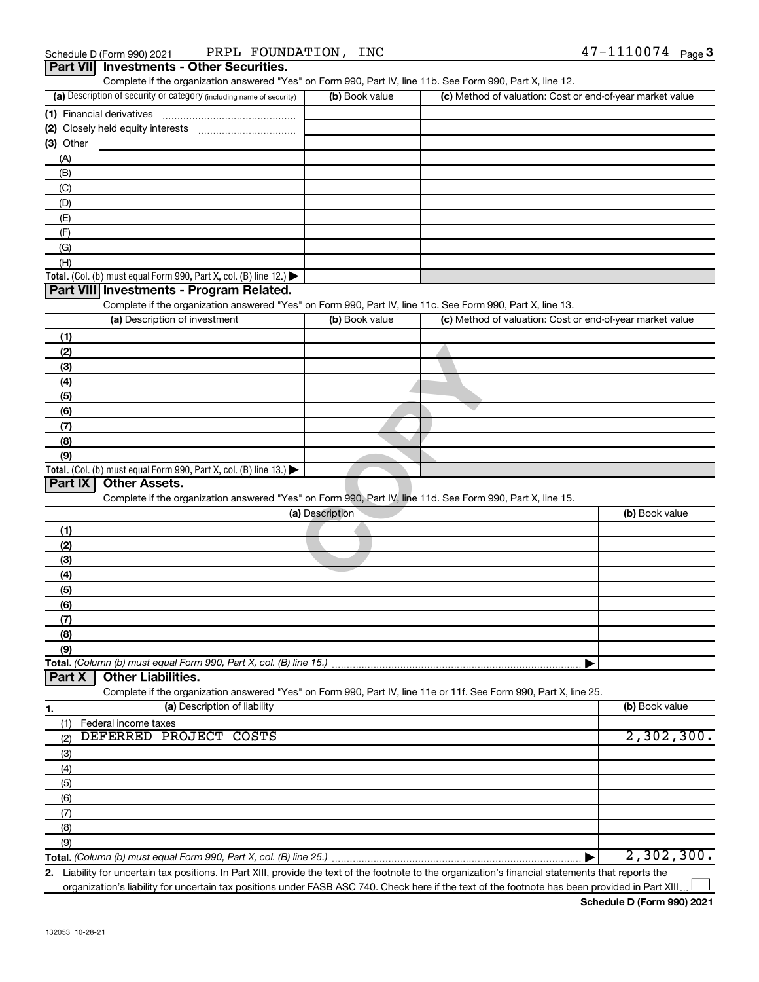| Part VII Investments - Other Securities.<br>Complete if the organization answered "Yes" on Form 990, Part IV, line 11b. See Form 990, Part X, line 12. |                 |                                                           |                |
|--------------------------------------------------------------------------------------------------------------------------------------------------------|-----------------|-----------------------------------------------------------|----------------|
| (a) Description of security or category (including name of security)                                                                                   | (b) Book value  | (c) Method of valuation: Cost or end-of-year market value |                |
| (1) Financial derivatives                                                                                                                              |                 |                                                           |                |
|                                                                                                                                                        |                 |                                                           |                |
| (3) Other                                                                                                                                              |                 |                                                           |                |
| (A)                                                                                                                                                    |                 |                                                           |                |
| (B)                                                                                                                                                    |                 |                                                           |                |
| (C)                                                                                                                                                    |                 |                                                           |                |
| (D)                                                                                                                                                    |                 |                                                           |                |
| (E)                                                                                                                                                    |                 |                                                           |                |
| (F)                                                                                                                                                    |                 |                                                           |                |
| (G)                                                                                                                                                    |                 |                                                           |                |
| (H)<br><b>Total.</b> (Col. (b) must equal Form 990, Part X, col. (B) line 12.) $\blacktriangleright$                                                   |                 |                                                           |                |
| Part VIII Investments - Program Related.                                                                                                               |                 |                                                           |                |
| Complete if the organization answered "Yes" on Form 990, Part IV, line 11c. See Form 990, Part X, line 13.                                             |                 |                                                           |                |
| (a) Description of investment                                                                                                                          | (b) Book value  | (c) Method of valuation: Cost or end-of-year market value |                |
| (1)                                                                                                                                                    |                 |                                                           |                |
| (2)                                                                                                                                                    |                 |                                                           |                |
| (3)                                                                                                                                                    |                 |                                                           |                |
| (4)                                                                                                                                                    |                 |                                                           |                |
| (5)                                                                                                                                                    |                 |                                                           |                |
| (6)                                                                                                                                                    |                 |                                                           |                |
| (7)                                                                                                                                                    |                 |                                                           |                |
| (8)                                                                                                                                                    |                 |                                                           |                |
| (9)                                                                                                                                                    |                 |                                                           |                |
| Total. (Col. (b) must equal Form 990, Part X, col. (B) line $13.$ )<br><b>Other Assets.</b><br>Part IX                                                 |                 |                                                           |                |
| Complete if the organization answered "Yes" on Form 990, Part IV, line 11d. See Form 990, Part X, line 15.                                             |                 |                                                           |                |
|                                                                                                                                                        | (a) Description |                                                           | (b) Book value |
| (1)                                                                                                                                                    |                 |                                                           |                |
| (2)                                                                                                                                                    |                 |                                                           |                |
| (3)                                                                                                                                                    |                 |                                                           |                |
| (4)                                                                                                                                                    |                 |                                                           |                |
| (5)                                                                                                                                                    |                 |                                                           |                |
| (6)                                                                                                                                                    |                 |                                                           |                |
| (7)                                                                                                                                                    |                 |                                                           |                |
| (8)                                                                                                                                                    |                 |                                                           |                |
| (9)                                                                                                                                                    |                 |                                                           |                |
| Total. (Column (b) must equal Form 990, Part X, col. (B) line 15.)<br><b>Other Liabilities.</b><br>Part X                                              |                 |                                                           |                |
| Complete if the organization answered "Yes" on Form 990, Part IV, line 11e or 11f. See Form 990, Part X, line 25.                                      |                 |                                                           |                |
| (a) Description of liability<br>1.                                                                                                                     |                 |                                                           | (b) Book value |
| Federal income taxes<br>(1)                                                                                                                            |                 |                                                           |                |
| DEFERRED PROJECT COSTS<br>(2)                                                                                                                          |                 |                                                           | 2,302,300.     |
| (3)                                                                                                                                                    |                 |                                                           |                |
| (4)                                                                                                                                                    |                 |                                                           |                |
| (5)                                                                                                                                                    |                 |                                                           |                |
| (6)                                                                                                                                                    |                 |                                                           |                |
| (7)                                                                                                                                                    |                 |                                                           |                |
| (8)                                                                                                                                                    |                 |                                                           |                |
| (9)                                                                                                                                                    |                 |                                                           |                |
| Total. (Column (b) must equal Form 990, Part X, col. (B) line 25.).                                                                                    |                 |                                                           | 2,302,300.     |

**2.** Liability for uncertain tax positions. In Part XIII, provide the text of the footnote to the organization's financial statements that reports the organization's liability for uncertain tax positions under FASB ASC 740. Check here if the text of the footnote has been provided in Part XIII.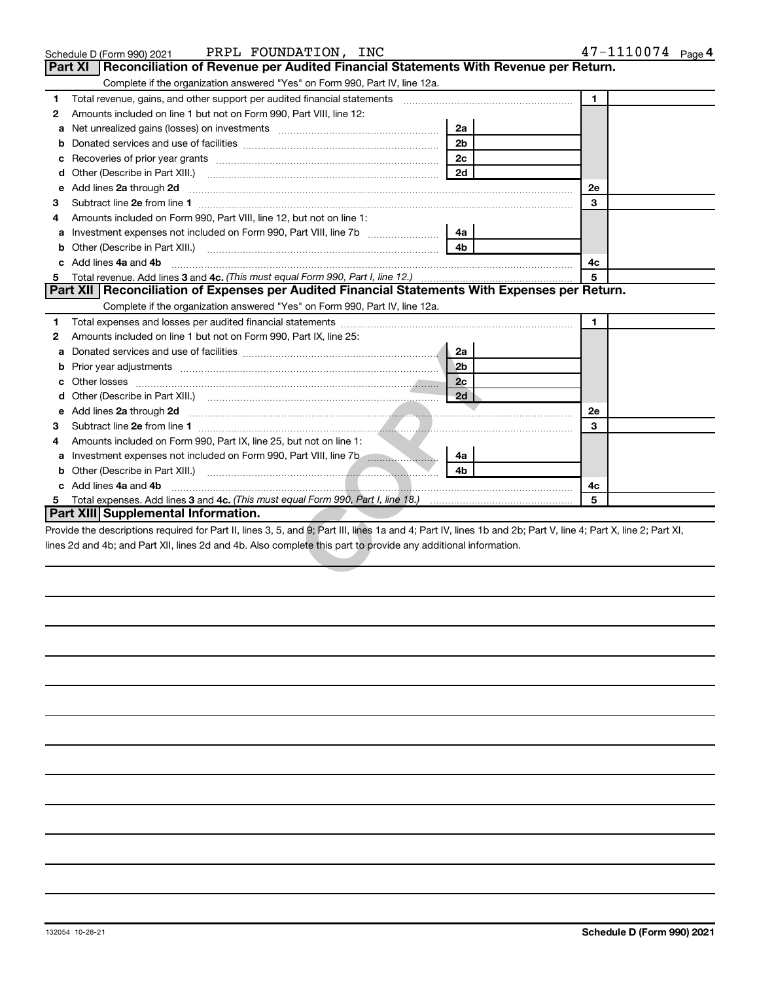|    | PRPL FOUNDATION, INC<br>Schedule D (Form 990) 2021                                                                                                                                                                                   |                | 47-1110074 Page 4 |
|----|--------------------------------------------------------------------------------------------------------------------------------------------------------------------------------------------------------------------------------------|----------------|-------------------|
|    | Reconciliation of Revenue per Audited Financial Statements With Revenue per Return.<br>Part XI                                                                                                                                       |                |                   |
|    | Complete if the organization answered "Yes" on Form 990, Part IV, line 12a.                                                                                                                                                          |                |                   |
| 1  | Total revenue, gains, and other support per audited financial statements                                                                                                                                                             |                | $\mathbf{1}$      |
| 2  | Amounts included on line 1 but not on Form 990, Part VIII, line 12:                                                                                                                                                                  |                |                   |
| a  |                                                                                                                                                                                                                                      | 2a             |                   |
| b  |                                                                                                                                                                                                                                      | 2 <sub>b</sub> |                   |
| с  |                                                                                                                                                                                                                                      | 2 <sub>c</sub> |                   |
| d  |                                                                                                                                                                                                                                      | 2d             |                   |
| е  | Add lines 2a through 2d                                                                                                                                                                                                              |                | 2e                |
| 3  | Subtract line 2e from line 1 <b>manufacture in the contract of the 2e</b> from line 1                                                                                                                                                |                | 3                 |
| 4  | Amounts included on Form 990, Part VIII, line 12, but not on line 1:                                                                                                                                                                 |                |                   |
| a  |                                                                                                                                                                                                                                      | 4a             |                   |
|    |                                                                                                                                                                                                                                      | 4b             |                   |
|    | Add lines 4a and 4b                                                                                                                                                                                                                  |                | 4с                |
| 5  |                                                                                                                                                                                                                                      |                | 5                 |
|    | Part XII   Reconciliation of Expenses per Audited Financial Statements With Expenses per Return.                                                                                                                                     |                |                   |
|    | Complete if the organization answered "Yes" on Form 990, Part IV, line 12a.                                                                                                                                                          |                |                   |
| 1  |                                                                                                                                                                                                                                      |                | 1                 |
| 2  | Amounts included on line 1 but not on Form 990, Part IX, line 25:                                                                                                                                                                    |                |                   |
| a  |                                                                                                                                                                                                                                      | 2a             |                   |
| b  |                                                                                                                                                                                                                                      | 2 <sub>b</sub> |                   |
| с  |                                                                                                                                                                                                                                      | 2c             |                   |
| d  |                                                                                                                                                                                                                                      | 2d             |                   |
| е  | Add lines 2a through 2d <b>contained a contained a contained a contained a contained a contained a contained a contained a contact a contact a contact a contact a contact a contact a contact a contact a contact a contact a c</b> |                | 2e                |
| 3  |                                                                                                                                                                                                                                      |                | 3                 |
| 4  | Amounts included on Form 990, Part IX, line 25, but not on line 1:                                                                                                                                                                   |                |                   |
|    | Investment expenses not included on Form 990, Part VIII, line 7b [100]                                                                                                                                                               | 4a             |                   |
|    |                                                                                                                                                                                                                                      | 4 <sub>h</sub> |                   |
| C. | Add lines 4a and 4b                                                                                                                                                                                                                  |                | 4c                |
| 5. |                                                                                                                                                                                                                                      |                | 5                 |
|    | <b>Part XIII Supplemental Information.</b>                                                                                                                                                                                           |                |                   |
|    | Provide the descriptions required for Part II, lines 3, 5, and 9; Part III, lines 1a and 4; Part IV, lines 1b and 2b; Part V, line 4; Part X, line 2; Part XI,                                                                       |                |                   |
|    | lines 2d and 4b; and Part XII, lines 2d and 4b. Also complete this part to provide any additional information.                                                                                                                       |                |                   |
|    |                                                                                                                                                                                                                                      |                |                   |
|    |                                                                                                                                                                                                                                      |                |                   |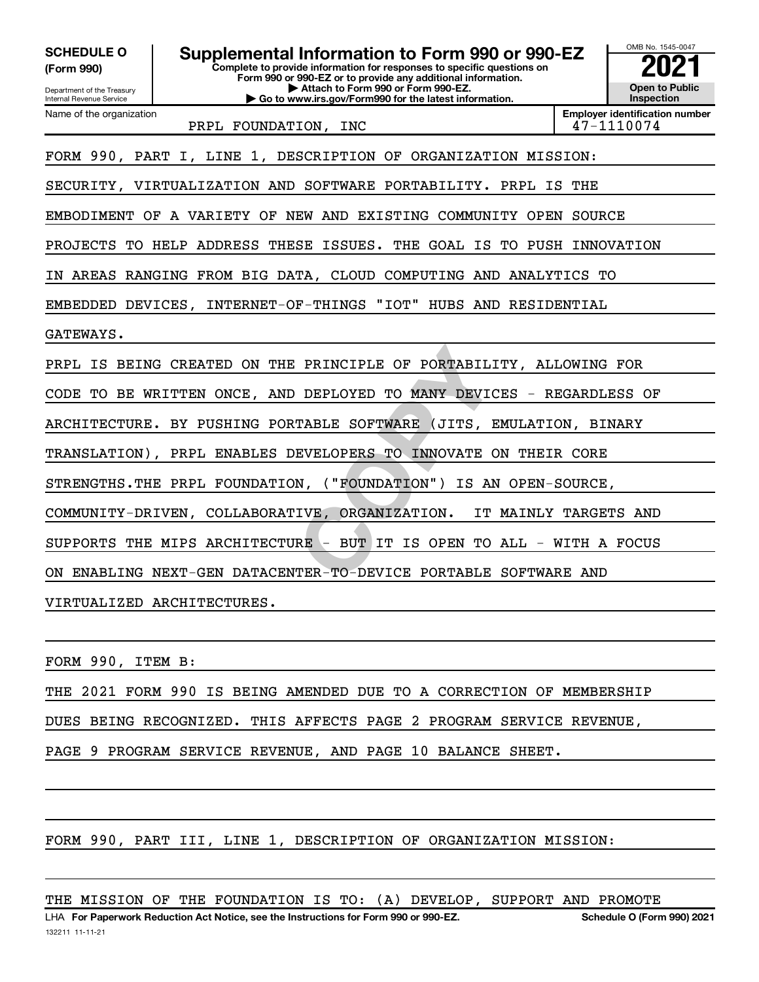**PRINCIPLE OF PORTABILITY,<br>DEPLOYED TO MANY DEVICES -<br>TABLE SOFTWARE (JITS, EMULA<br>EVELOPERS TO INNOVATE ON TH<br>N, ("FOUNDATION") IS AN OPE<br>IVE, ORGANIZATION. IT MAIN<br>RE - BUT IT IS OPEN TO ALL<br>TER-TO-DEVICE PORTABLE SOFT** OMB No. 1545-0047 Department of the Treasury Internal Revenue Service **Complete to provide information for responses to specific questions on Form 990 or 990-EZ or to provide any additional information. | Attach to Form 990 or Form 990-EZ. | Go to www.irs.gov/Form990 for the latest information. Open to Public Inspection Employer identification number** Name of the organization **(Form 990) SCHEDULE O Supplemental Information to Form 990 or 990-EZ**  $\begin{bmatrix} 0 & 0 & 0 \\ 0 & 0 & 0 \\ 0 & 0 & 0 \end{bmatrix}$  Complete to provide information for responses to specific questions on PRPL FOUNDATION, INC  $|47-1110074$ FORM 990, PART I, LINE 1, DESCRIPTION OF ORGANIZATION MISSION: SECURITY, VIRTUALIZATION AND SOFTWARE PORTABILITY. PRPL IS THE EMBODIMENT OF A VARIETY OF NEW AND EXISTING COMMUNITY OPEN SOURCE PROJECTS TO HELP ADDRESS THESE ISSUES. THE GOAL IS TO PUSH INNOVATION IN AREAS RANGING FROM BIG DATA, CLOUD COMPUTING AND ANALYTICS TO EMBEDDED DEVICES, INTERNET-OF-THINGS "IOT" HUBS AND RESIDENTIAL GATEWAYS. PRPL IS BEING CREATED ON THE PRINCIPLE OF PORTABILITY, ALLOWING FOR CODE TO BE WRITTEN ONCE, AND DEPLOYED TO MANY DEVICES - REGARDLESS OF ARCHITECTURE. BY PUSHING PORTABLE SOFTWARE (JITS, EMULATION, BINARY TRANSLATION), PRPL ENABLES DEVELOPERS TO INNOVATE ON THEIR CORE STRENGTHS.THE PRPL FOUNDATION, ("FOUNDATION") IS AN OPEN-SOURCE, COMMUNITY-DRIVEN, COLLABORATIVE, ORGANIZATION. IT MAINLY TARGETS AND SUPPORTS THE MIPS ARCHITECTURE - BUT IT IS OPEN TO ALL - WITH A FOCUS ON ENABLING NEXT-GEN DATACENTER-TO-DEVICE PORTABLE SOFTWARE AND VIRTUALIZED ARCHITECTURES.

FORM 990, ITEM B:

THE 2021 FORM 990 IS BEING AMENDED DUE TO A CORRECTION OF MEMBERSHIP

DUES BEING RECOGNIZED. THIS AFFECTS PAGE 2 PROGRAM SERVICE REVENUE,

PAGE 9 PROGRAM SERVICE REVENUE, AND PAGE 10 BALANCE SHEET.

FORM 990, PART III, LINE 1, DESCRIPTION OF ORGANIZATION MISSION:

THE MISSION OF THE FOUNDATION IS TO: (A) DEVELOP, SUPPORT AND PROMOTE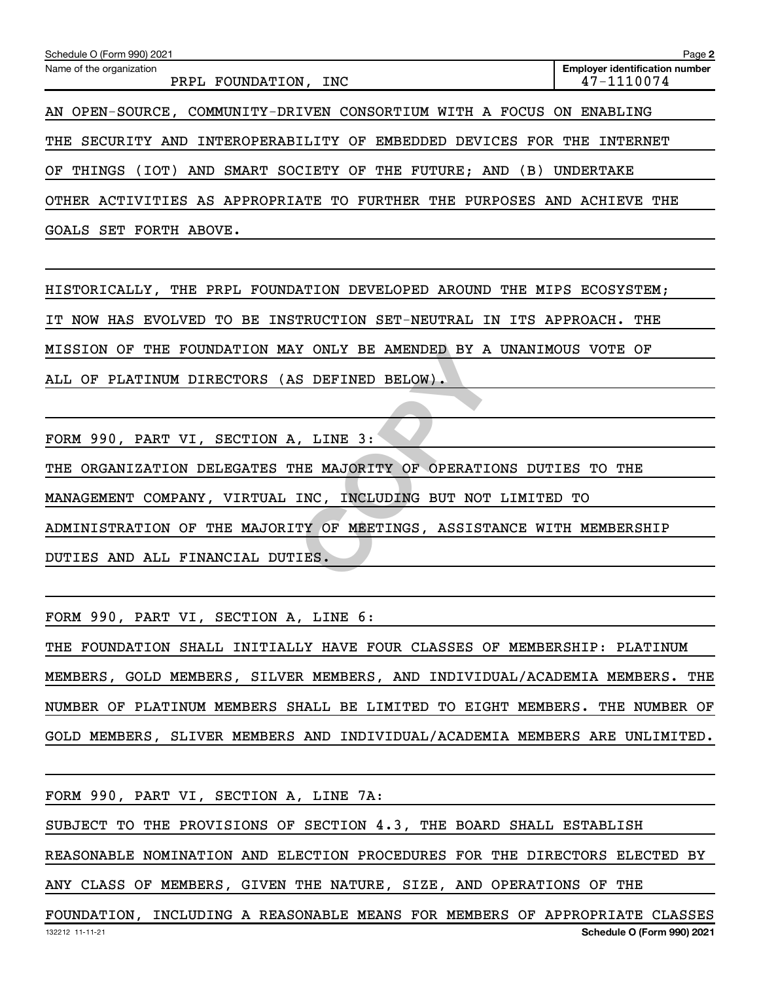| Schedule O (Form 990) 2021                                                  | Page 2                                              |  |  |  |
|-----------------------------------------------------------------------------|-----------------------------------------------------|--|--|--|
| Name of the organization<br>PRPL FOUNDATION,<br>INC                         | <b>Employer identification number</b><br>47-1110074 |  |  |  |
| AN OPEN-SOURCE, COMMUNITY-DRIVEN CONSORTIUM WITH A FOCUS ON ENABLING        |                                                     |  |  |  |
| THE SECURITY AND INTEROPERABILITY OF EMBEDDED DEVICES FOR THE INTERNET      |                                                     |  |  |  |
| AND SMART SOCIETY OF THE FUTURE; AND (B)<br>(TOT)<br>OF THINGS<br>UNDERTAKE |                                                     |  |  |  |
| OTHER ACTIVITIES AS APPROPRIATE TO<br>FURTHER THE PURPOSES AND ACHIEVE THE  |                                                     |  |  |  |

GOALS SET FORTH ABOVE.

HISTORICALLY, THE PRPL FOUNDATION DEVELOPED AROUND THE MIPS ECOSYSTEM;

IT NOW HAS EVOLVED TO BE INSTRUCTION SET-NEUTRAL IN ITS APPROACH. THE

MISSION OF THE FOUNDATION MAY ONLY BE AMENDED BY A UNANIMOUS VOTE OF

ALL OF PLATINUM DIRECTORS (AS DEFINED BELOW).

FORM 990, PART VI, SECTION A, LINE 3:

THE ORGANIZATION DELEGATES THE MAJORITY OF OPERATIONS DUTIES TO THE

Y ONLY BE AMENDED BY A UNAN<br>
S DEFINED BELOW).<br>
...LINE 3:<br>
HE MAJORITY OF OPERATIONS D<br>
INC, INCLUDING BUT NOT LIMI<br>
TY OF MEETINGS, ASSISTANCE<br>
IES. MANAGEMENT COMPANY, VIRTUAL INC, INCLUDING BUT NOT LIMITED TO

ADMINISTRATION OF THE MAJORITY OF MEETINGS, ASSISTANCE WITH MEMBERSHIP

DUTIES AND ALL FINANCIAL DUTIES.

FORM 990, PART VI, SECTION A, LINE 6:

THE FOUNDATION SHALL INITIALLY HAVE FOUR CLASSES OF MEMBERSHIP: PLATINUM MEMBERS, GOLD MEMBERS, SILVER MEMBERS, AND INDIVIDUAL/ACADEMIA MEMBERS. THE NUMBER OF PLATINUM MEMBERS SHALL BE LIMITED TO EIGHT MEMBERS. THE NUMBER OF GOLD MEMBERS, SLIVER MEMBERS AND INDIVIDUAL/ACADEMIA MEMBERS ARE UNLIMITED.

132212 11-11-21 **Schedule O (Form 990) 2021** FORM 990, PART VI, SECTION A, LINE 7A: SUBJECT TO THE PROVISIONS OF SECTION 4.3, THE BOARD SHALL ESTABLISH REASONABLE NOMINATION AND ELECTION PROCEDURES FOR THE DIRECTORS ELECTED BY ANY CLASS OF MEMBERS, GIVEN THE NATURE, SIZE, AND OPERATIONS OF THE FOUNDATION, INCLUDING A REASONABLE MEANS FOR MEMBERS OF APPROPRIATE CLASSES